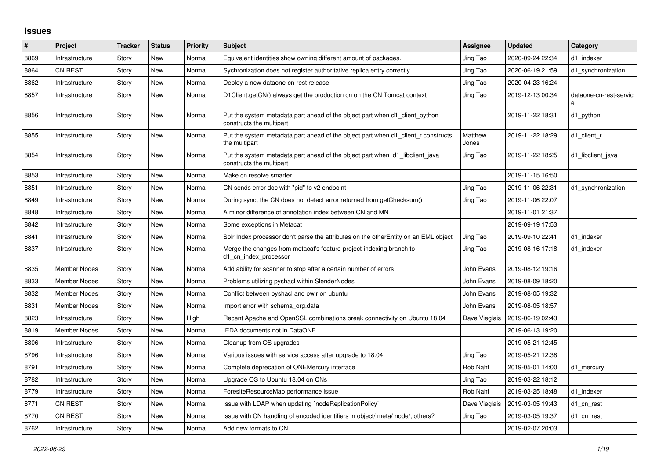## **Issues**

| $\#$ | Project             | <b>Tracker</b> | <b>Status</b> | <b>Priority</b> | <b>Subject</b>                                                                                           | <b>Assignee</b>  | <b>Updated</b>   | Category                    |
|------|---------------------|----------------|---------------|-----------------|----------------------------------------------------------------------------------------------------------|------------------|------------------|-----------------------------|
| 8869 | Infrastructure      | Story          | New           | Normal          | Equivalent identities show owning different amount of packages.                                          | Jing Tao         | 2020-09-24 22:34 | d1 indexer                  |
| 8864 | <b>CN REST</b>      | Story          | New           | Normal          | Sychronization does not register authoritative replica entry correctly                                   | Jing Tao         | 2020-06-19 21:59 | d1 synchronization          |
| 8862 | Infrastructure      | Story          | New           | Normal          | Deploy a new dataone-cn-rest release                                                                     | Jing Tao         | 2020-04-23 16:24 |                             |
| 8857 | Infrastructure      | Story          | New           | Normal          | D1Client.getCN() always get the production cn on the CN Tomcat context                                   | Jing Tao         | 2019-12-13 00:34 | dataone-cn-rest-servic<br>e |
| 8856 | Infrastructure      | Story          | New           | Normal          | Put the system metadata part ahead of the object part when d1 client python<br>constructs the multipart  |                  | 2019-11-22 18:31 | d1 python                   |
| 8855 | Infrastructure      | Story          | New           | Normal          | Put the system metadata part ahead of the object part when d1_client_r constructs<br>the multipart       | Matthew<br>Jones | 2019-11-22 18:29 | d1_client_r                 |
| 8854 | Infrastructure      | Story          | New           | Normal          | Put the system metadata part ahead of the object part when d1_libclient_java<br>constructs the multipart | Jing Tao         | 2019-11-22 18:25 | d1 libclient java           |
| 8853 | Infrastructure      | Story          | New           | Normal          | Make cn.resolve smarter                                                                                  |                  | 2019-11-15 16:50 |                             |
| 8851 | Infrastructure      | Story          | New           | Normal          | CN sends error doc with "pid" to v2 endpoint                                                             | Jing Tao         | 2019-11-06 22:31 | d1_synchronization          |
| 8849 | Infrastructure      | Story          | New           | Normal          | During sync, the CN does not detect error returned from getChecksum()                                    | Jing Tao         | 2019-11-06 22:07 |                             |
| 8848 | Infrastructure      | Story          | <b>New</b>    | Normal          | A minor difference of annotation index between CN and MN                                                 |                  | 2019-11-01 21:37 |                             |
| 8842 | Infrastructure      | Story          | New           | Normal          | Some exceptions in Metacat                                                                               |                  | 2019-09-19 17:53 |                             |
| 8841 | Infrastructure      | Story          | <b>New</b>    | Normal          | Solr Index processor don't parse the attributes on the otherEntity on an EML object                      | Jing Tao         | 2019-09-10 22:41 | d1 indexer                  |
| 8837 | Infrastructure      | Story          | New           | Normal          | Merge the changes from metacat's feature-project-indexing branch to<br>d1_cn_index_processor             | Jing Tao         | 2019-08-16 17:18 | d1 indexer                  |
| 8835 | <b>Member Nodes</b> | Story          | New           | Normal          | Add ability for scanner to stop after a certain number of errors                                         | John Evans       | 2019-08-12 19:16 |                             |
| 8833 | Member Nodes        | Story          | New           | Normal          | Problems utilizing pyshacl within SlenderNodes                                                           | John Evans       | 2019-08-09 18:20 |                             |
| 8832 | <b>Member Nodes</b> | Story          | New           | Normal          | Conflict between pyshacl and owlr on ubuntu                                                              | John Evans       | 2019-08-05 19:32 |                             |
| 8831 | <b>Member Nodes</b> | Story          | New           | Normal          | Import error with schema org.data                                                                        | John Evans       | 2019-08-05 18:57 |                             |
| 8823 | Infrastructure      | Story          | New           | High            | Recent Apache and OpenSSL combinations break connectivity on Ubuntu 18.04                                | Dave Vieglais    | 2019-06-19 02:43 |                             |
| 8819 | <b>Member Nodes</b> | Story          | New           | Normal          | <b>IEDA documents not in DataONE</b>                                                                     |                  | 2019-06-13 19:20 |                             |
| 8806 | Infrastructure      | Story          | New           | Normal          | Cleanup from OS upgrades                                                                                 |                  | 2019-05-21 12:45 |                             |
| 8796 | Infrastructure      | Story          | New           | Normal          | Various issues with service access after upgrade to 18.04                                                | Jing Tao         | 2019-05-21 12:38 |                             |
| 8791 | Infrastructure      | Story          | New           | Normal          | Complete deprecation of ONEMercury interface                                                             | Rob Nahf         | 2019-05-01 14:00 | d1 mercury                  |
| 8782 | Infrastructure      | Story          | New           | Normal          | Upgrade OS to Ubuntu 18.04 on CNs                                                                        | Jing Tao         | 2019-03-22 18:12 |                             |
| 8779 | Infrastructure      | Story          | New           | Normal          | ForesiteResourceMap performance issue                                                                    | Rob Nahf         | 2019-03-25 18:48 | d1 indexer                  |
| 8771 | <b>CN REST</b>      | Story          | New           | Normal          | Issue with LDAP when updating `nodeReplicationPolicy`                                                    | Dave Vieglais    | 2019-03-05 19:43 | d1_cn_rest                  |
| 8770 | <b>CN REST</b>      | Story          | New           | Normal          | Issue with CN handling of encoded identifiers in object/ meta/ node/, others?                            | Jing Tao         | 2019-03-05 19:37 | d1 cn rest                  |
| 8762 | Infrastructure      | Story          | New           | Normal          | Add new formats to CN                                                                                    |                  | 2019-02-07 20:03 |                             |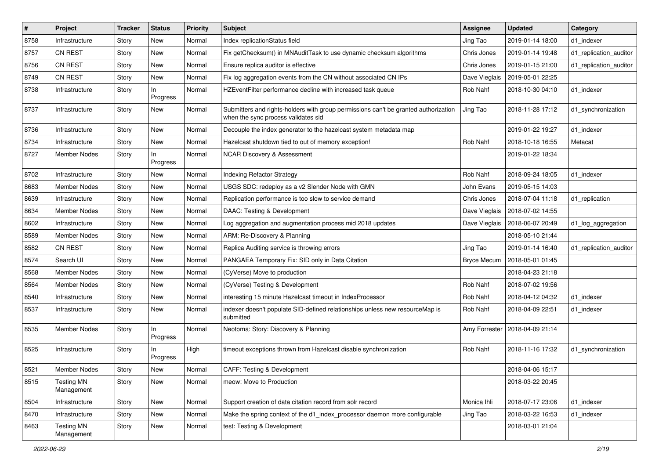| $\#$ | Project                         | <b>Tracker</b> | <b>Status</b>   | <b>Priority</b> | Subject                                                                                                                    | <b>Assignee</b>    | <b>Updated</b>   | Category               |
|------|---------------------------------|----------------|-----------------|-----------------|----------------------------------------------------------------------------------------------------------------------------|--------------------|------------------|------------------------|
| 8758 | Infrastructure                  | Story          | New             | Normal          | Index replicationStatus field                                                                                              | Jing Tao           | 2019-01-14 18:00 | d1 indexer             |
| 8757 | <b>CN REST</b>                  | Story          | New             | Normal          | Fix getChecksum() in MNAuditTask to use dynamic checksum algorithms                                                        | Chris Jones        | 2019-01-14 19:48 | d1_replication_auditor |
| 8756 | <b>CN REST</b>                  | Story          | New             | Normal          | Ensure replica auditor is effective                                                                                        | Chris Jones        | 2019-01-15 21:00 | d1_replication_auditor |
| 8749 | <b>CN REST</b>                  | Story          | New             | Normal          | Fix log aggregation events from the CN without associated CN IPs                                                           | Dave Vieglais      | 2019-05-01 22:25 |                        |
| 8738 | Infrastructure                  | Story          | In.<br>Progress | Normal          | HZEventFilter performance decline with increased task queue                                                                | Rob Nahf           | 2018-10-30 04:10 | d1_indexer             |
| 8737 | Infrastructure                  | Story          | New             | Normal          | Submitters and rights-holders with group permissions can't be granted authorization<br>when the sync process validates sid | Jing Tao           | 2018-11-28 17:12 | d1_synchronization     |
| 8736 | Infrastructure                  | Story          | New             | Normal          | Decouple the index generator to the hazelcast system metadata map                                                          |                    | 2019-01-22 19:27 | d1 indexer             |
| 8734 | Infrastructure                  | Story          | New             | Normal          | Hazelcast shutdown tied to out of memory exception!                                                                        | Rob Nahf           | 2018-10-18 16:55 | Metacat                |
| 8727 | <b>Member Nodes</b>             | Story          | In<br>Progress  | Normal          | <b>NCAR Discovery &amp; Assessment</b>                                                                                     |                    | 2019-01-22 18:34 |                        |
| 8702 | Infrastructure                  | Story          | New             | Normal          | <b>Indexing Refactor Strategy</b>                                                                                          | Rob Nahf           | 2018-09-24 18:05 | d1 indexer             |
| 8683 | <b>Member Nodes</b>             | Story          | New             | Normal          | USGS SDC: redeploy as a v2 Slender Node with GMN                                                                           | John Evans         | 2019-05-15 14:03 |                        |
| 8639 | Infrastructure                  | Story          | New             | Normal          | Replication performance is too slow to service demand                                                                      | Chris Jones        | 2018-07-04 11:18 | d1_replication         |
| 8634 | <b>Member Nodes</b>             | Story          | New             | Normal          | DAAC: Testing & Development                                                                                                | Dave Vieglais      | 2018-07-02 14:55 |                        |
| 8602 | Infrastructure                  | Story          | New             | Normal          | Log aggregation and augmentation process mid 2018 updates                                                                  | Dave Vieglais      | 2018-06-07 20:49 | d1 log aggregation     |
| 8589 | <b>Member Nodes</b>             | Story          | New             | Normal          | ARM: Re-Discovery & Planning                                                                                               |                    | 2018-05-10 21:44 |                        |
| 8582 | <b>CN REST</b>                  | Story          | New             | Normal          | Replica Auditing service is throwing errors                                                                                | Jing Tao           | 2019-01-14 16:40 | d1 replication auditor |
| 8574 | Search UI                       | Story          | New             | Normal          | PANGAEA Temporary Fix: SID only in Data Citation                                                                           | <b>Bryce Mecum</b> | 2018-05-01 01:45 |                        |
| 8568 | <b>Member Nodes</b>             | Story          | New             | Normal          | (CyVerse) Move to production                                                                                               |                    | 2018-04-23 21:18 |                        |
| 8564 | <b>Member Nodes</b>             | Story          | New             | Normal          | (CyVerse) Testing & Development                                                                                            | Rob Nahf           | 2018-07-02 19:56 |                        |
| 8540 | Infrastructure                  | Story          | New             | Normal          | interesting 15 minute Hazelcast timeout in IndexProcessor                                                                  | Rob Nahf           | 2018-04-12 04:32 | d1 indexer             |
| 8537 | Infrastructure                  | Story          | New             | Normal          | indexer doesn't populate SID-defined relationships unless new resourceMap is<br>submitted                                  | Rob Nahf           | 2018-04-09 22:51 | d1 indexer             |
| 8535 | <b>Member Nodes</b>             | Story          | ln.<br>Progress | Normal          | Neotoma: Story: Discovery & Planning                                                                                       | Amy Forrester      | 2018-04-09 21:14 |                        |
| 8525 | Infrastructure                  | Story          | In<br>Progress  | High            | timeout exceptions thrown from Hazelcast disable synchronization                                                           | Rob Nahf           | 2018-11-16 17:32 | d1_synchronization     |
| 8521 | <b>Member Nodes</b>             | Story          | New             | Normal          | CAFF: Testing & Development                                                                                                |                    | 2018-04-06 15:17 |                        |
| 8515 | <b>Testing MN</b><br>Management | Story          | New             | Normal          | meow: Move to Production                                                                                                   |                    | 2018-03-22 20:45 |                        |
| 8504 | Infrastructure                  | Story          | New             | Normal          | Support creation of data citation record from solr record                                                                  | Monica Ihli        | 2018-07-17 23:06 | d1_indexer             |
| 8470 | Infrastructure                  | Story          | New             | Normal          | Make the spring context of the d1_index_processor daemon more configurable                                                 | Jing Tao           | 2018-03-22 16:53 | d1 indexer             |
| 8463 | <b>Testing MN</b><br>Management | Story          | New             | Normal          | test: Testing & Development                                                                                                |                    | 2018-03-01 21:04 |                        |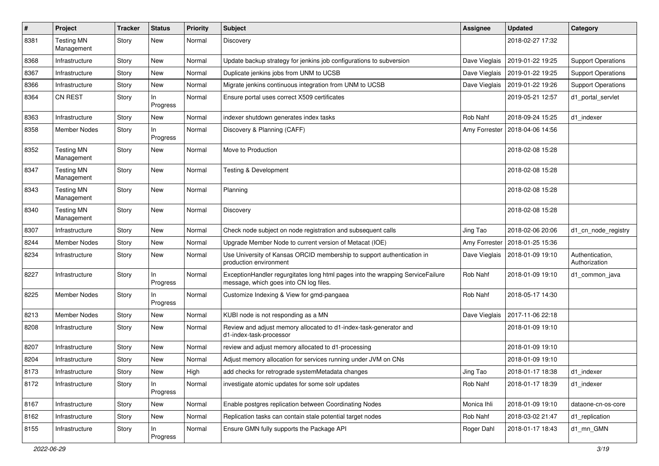| $\pmb{\#}$ | Project                         | Tracker | <b>Status</b>   | <b>Priority</b> | <b>Subject</b>                                                                                                           | <b>Assignee</b> | <b>Updated</b>   | Category                         |
|------------|---------------------------------|---------|-----------------|-----------------|--------------------------------------------------------------------------------------------------------------------------|-----------------|------------------|----------------------------------|
| 8381       | <b>Testing MN</b><br>Management | Story   | New             | Normal          | Discovery                                                                                                                |                 | 2018-02-27 17:32 |                                  |
| 8368       | Infrastructure                  | Story   | New             | Normal          | Update backup strategy for jenkins job configurations to subversion                                                      | Dave Vieglais   | 2019-01-22 19:25 | <b>Support Operations</b>        |
| 8367       | Infrastructure                  | Story   | New             | Normal          | Duplicate jenkins jobs from UNM to UCSB                                                                                  | Dave Vieglais   | 2019-01-22 19:25 | <b>Support Operations</b>        |
| 8366       | Infrastructure                  | Story   | New             | Normal          | Migrate jenkins continuous integration from UNM to UCSB                                                                  | Dave Vieglais   | 2019-01-22 19:26 | <b>Support Operations</b>        |
| 8364       | <b>CN REST</b>                  | Story   | ln.<br>Progress | Normal          | Ensure portal uses correct X509 certificates                                                                             |                 | 2019-05-21 12:57 | d1_portal_servlet                |
| 8363       | Infrastructure                  | Story   | New             | Normal          | indexer shutdown generates index tasks                                                                                   | Rob Nahf        | 2018-09-24 15:25 | d1 indexer                       |
| 8358       | Member Nodes                    | Story   | ln.<br>Progress | Normal          | Discovery & Planning (CAFF)                                                                                              | Amy Forrester   | 2018-04-06 14:56 |                                  |
| 8352       | Testing MN<br>Management        | Story   | New             | Normal          | Move to Production                                                                                                       |                 | 2018-02-08 15:28 |                                  |
| 8347       | <b>Testing MN</b><br>Management | Story   | <b>New</b>      | Normal          | <b>Testing &amp; Development</b>                                                                                         |                 | 2018-02-08 15:28 |                                  |
| 8343       | <b>Testing MN</b><br>Management | Story   | New             | Normal          | Planning                                                                                                                 |                 | 2018-02-08 15:28 |                                  |
| 8340       | <b>Testing MN</b><br>Management | Story   | New             | Normal          | Discovery                                                                                                                |                 | 2018-02-08 15:28 |                                  |
| 8307       | Infrastructure                  | Story   | New             | Normal          | Check node subject on node registration and subsequent calls                                                             | Jing Tao        | 2018-02-06 20:06 | d1 cn node registry              |
| 8244       | Member Nodes                    | Story   | New             | Normal          | Upgrade Member Node to current version of Metacat (IOE)                                                                  | Amy Forrester   | 2018-01-25 15:36 |                                  |
| 8234       | Infrastructure                  | Story   | New             | Normal          | Use University of Kansas ORCID membership to support authentication in<br>production environment                         | Dave Vieglais   | 2018-01-09 19:10 | Authentication,<br>Authorization |
| 8227       | Infrastructure                  | Story   | In.<br>Progress | Normal          | ExceptionHandler regurgitates long html pages into the wrapping ServiceFailure<br>message, which goes into CN log files. | Rob Nahf        | 2018-01-09 19:10 | d1_common_java                   |
| 8225       | Member Nodes                    | Story   | In<br>Progress  | Normal          | Customize Indexing & View for gmd-pangaea                                                                                | Rob Nahf        | 2018-05-17 14:30 |                                  |
| 8213       | Member Nodes                    | Story   | New             | Normal          | KUBI node is not responding as a MN                                                                                      | Dave Vieglais   | 2017-11-06 22:18 |                                  |
| 8208       | Infrastructure                  | Story   | New             | Normal          | Review and adjust memory allocated to d1-index-task-generator and<br>d1-index-task-processor                             |                 | 2018-01-09 19:10 |                                  |
| 8207       | Infrastructure                  | Story   | New             | Normal          | review and adjust memory allocated to d1-processing                                                                      |                 | 2018-01-09 19:10 |                                  |
| 8204       | Infrastructure                  | Story   | New             | Normal          | Adjust memory allocation for services running under JVM on CNs                                                           |                 | 2018-01-09 19:10 |                                  |
| 8173       | Infrastructure                  | Story   | New             | High            | add checks for retrograde systemMetadata changes                                                                         | Jing Tao        | 2018-01-17 18:38 | d1_indexer                       |
| 8172       | Infrastructure                  | Story   | In<br>Progress  | Normal          | investigate atomic updates for some solr updates                                                                         | Rob Nahf        | 2018-01-17 18:39 | d1 indexer                       |
| 8167       | Infrastructure                  | Story   | New             | Normal          | Enable postgres replication between Coordinating Nodes                                                                   | Monica Ihli     | 2018-01-09 19:10 | dataone-cn-os-core               |
| 8162       | Infrastructure                  | Story   | New             | Normal          | Replication tasks can contain stale potential target nodes                                                               | Rob Nahf        | 2018-03-02 21:47 | d1_replication                   |
| 8155       | Infrastructure                  | Story   | In<br>Progress  | Normal          | Ensure GMN fully supports the Package API                                                                                | Roger Dahl      | 2018-01-17 18:43 | d1_mn_GMN                        |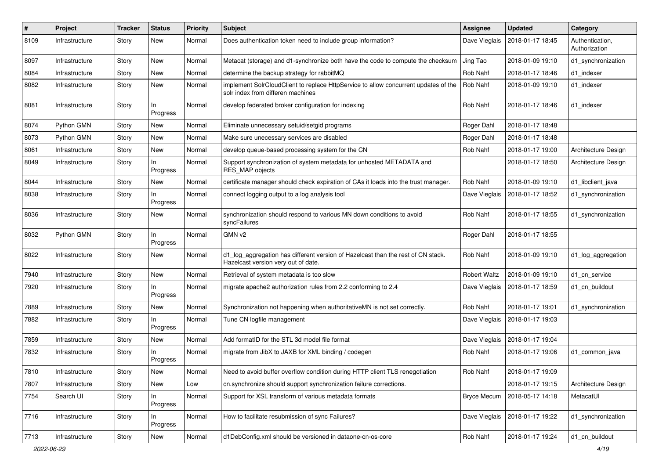| #    | Project        | <b>Tracker</b> | <b>Status</b>   | <b>Priority</b> | <b>Subject</b>                                                                                                           | <b>Assignee</b>    | <b>Updated</b>   | Category                         |
|------|----------------|----------------|-----------------|-----------------|--------------------------------------------------------------------------------------------------------------------------|--------------------|------------------|----------------------------------|
| 8109 | Infrastructure | Story          | New             | Normal          | Does authentication token need to include group information?                                                             | Dave Vieglais      | 2018-01-17 18:45 | Authentication,<br>Authorization |
| 8097 | Infrastructure | Story          | New             | Normal          | Metacat (storage) and d1-synchronize both have the code to compute the checksum                                          | Jing Tao           | 2018-01-09 19:10 | d1 synchronization               |
| 8084 | Infrastructure | Story          | New             | Normal          | determine the backup strategy for rabbitMQ                                                                               | Rob Nahf           | 2018-01-17 18:46 | d1 indexer                       |
| 8082 | Infrastructure | Story          | New             | Normal          | implement SolrCloudClient to replace HttpService to allow concurrent updates of the<br>solr index from differen machines | Rob Nahf           | 2018-01-09 19:10 | d1 indexer                       |
| 8081 | Infrastructure | Story          | In<br>Progress  | Normal          | develop federated broker configuration for indexing                                                                      | Rob Nahf           | 2018-01-17 18:46 | d1_indexer                       |
| 8074 | Python GMN     | Story          | New             | Normal          | Eliminate unnecessary setuid/setgid programs                                                                             | Roger Dahl         | 2018-01-17 18:48 |                                  |
| 8073 | Python GMN     | Story          | New             | Normal          | Make sure unecessary services are disabled                                                                               | Roger Dahl         | 2018-01-17 18:48 |                                  |
| 8061 | Infrastructure | Story          | New             | Normal          | develop queue-based processing system for the CN                                                                         | Rob Nahf           | 2018-01-17 19:00 | Architecture Design              |
| 8049 | Infrastructure | Story          | ln.<br>Progress | Normal          | Support synchronization of system metadata for unhosted METADATA and<br>RES_MAP objects                                  |                    | 2018-01-17 18:50 | Architecture Design              |
| 8044 | Infrastructure | Story          | New             | Normal          | certificate manager should check expiration of CAs it loads into the trust manager.                                      | Rob Nahf           | 2018-01-09 19:10 | d1 libclient java                |
| 8038 | Infrastructure | Story          | In<br>Progress  | Normal          | connect logging output to a log analysis tool                                                                            | Dave Vieglais      | 2018-01-17 18:52 | d1_synchronization               |
| 8036 | Infrastructure | Story          | New             | Normal          | synchronization should respond to various MN down conditions to avoid<br>syncFailures                                    | Rob Nahf           | 2018-01-17 18:55 | d1_synchronization               |
| 8032 | Python GMN     | Story          | In<br>Progress  | Normal          | GMN v2                                                                                                                   | Roger Dahl         | 2018-01-17 18:55 |                                  |
| 8022 | Infrastructure | Story          | New             | Normal          | d1_log_aggregation has different version of Hazelcast than the rest of CN stack.<br>Hazelcast version very out of date.  | Rob Nahf           | 2018-01-09 19:10 | d1_log_aggregation               |
| 7940 | Infrastructure | Story          | New             | Normal          | Retrieval of system metadata is too slow                                                                                 | Robert Waltz       | 2018-01-09 19:10 | d1 cn service                    |
| 7920 | Infrastructure | Story          | In<br>Progress  | Normal          | migrate apache2 authorization rules from 2.2 conforming to 2.4                                                           | Dave Vieglais      | 2018-01-17 18:59 | d1 cn buildout                   |
| 7889 | Infrastructure | Story          | New             | Normal          | Synchronization not happening when authoritativeMN is not set correctly.                                                 | Rob Nahf           | 2018-01-17 19:01 | d1_synchronization               |
| 7882 | Infrastructure | Story          | ln.<br>Progress | Normal          | Tune CN logfile management                                                                                               | Dave Vieglais      | 2018-01-17 19:03 |                                  |
| 7859 | Infrastructure | Story          | New             | Normal          | Add formatID for the STL 3d model file format                                                                            | Dave Vieglais      | 2018-01-17 19:04 |                                  |
| 7832 | Infrastructure | Story          | In<br>Progress  | Normal          | migrate from JibX to JAXB for XML binding / codegen                                                                      | Rob Nahf           | 2018-01-17 19:06 | d1_common_java                   |
| 7810 | Infrastructure | Story          | New             | Normal          | Need to avoid buffer overflow condition during HTTP client TLS renegotiation                                             | Rob Nahf           | 2018-01-17 19:09 |                                  |
| 7807 | Infrastructure | Story          | New             | Low             | cn.synchronize should support synchronization failure corrections.                                                       |                    | 2018-01-17 19:15 | Architecture Design              |
| 7754 | Search UI      | Story          | In<br>Progress  | Normal          | Support for XSL transform of various metadata formats                                                                    | <b>Bryce Mecum</b> | 2018-05-17 14:18 | MetacatUI                        |
| 7716 | Infrastructure | Story          | In<br>Progress  | Normal          | How to facilitate resubmission of sync Failures?                                                                         | Dave Vieglais      | 2018-01-17 19:22 | d1_synchronization               |
| 7713 | Infrastructure | Story          | New             | Normal          | d1DebConfig.xml should be versioned in dataone-cn-os-core                                                                | Rob Nahf           | 2018-01-17 19:24 | d1_cn_buildout                   |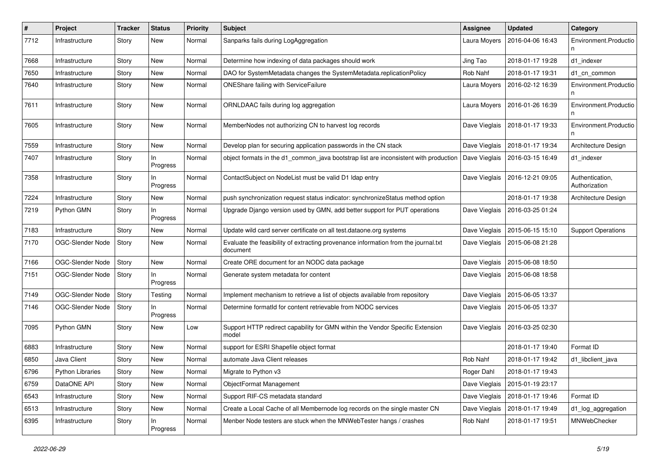| $\pmb{\#}$ | <b>Project</b>   | <b>Tracker</b> | <b>Status</b>   | <b>Priority</b> | <b>Subject</b>                                                                                 | <b>Assignee</b> | <b>Updated</b>   | Category                         |
|------------|------------------|----------------|-----------------|-----------------|------------------------------------------------------------------------------------------------|-----------------|------------------|----------------------------------|
| 7712       | Infrastructure   | Story          | New             | Normal          | Sanparks fails during LogAggregation                                                           | Laura Moyers    | 2016-04-06 16:43 | Environment.Productio            |
| 7668       | Infrastructure   | Story          | New             | Normal          | Determine how indexing of data packages should work                                            | Jing Tao        | 2018-01-17 19:28 | d1 indexer                       |
| 7650       | Infrastructure   | Story          | New             | Normal          | DAO for SystemMetadata changes the SystemMetadata.replicationPolicy                            | Rob Nahf        | 2018-01-17 19:31 | d1_cn_common                     |
| 7640       | Infrastructure   | Story          | New             | Normal          | ONEShare failing with ServiceFailure                                                           | Laura Moyers    | 2016-02-12 16:39 | Environment.Productio            |
| 7611       | Infrastructure   | Story          | New             | Normal          | ORNLDAAC fails during log aggregation                                                          | Laura Moyers    | 2016-01-26 16:39 | Environment.Productio            |
| 7605       | Infrastructure   | Story          | New             | Normal          | MemberNodes not authorizing CN to harvest log records                                          | Dave Vieglais   | 2018-01-17 19:33 | Environment.Productio            |
| 7559       | Infrastructure   | Story          | New             | Normal          | Develop plan for securing application passwords in the CN stack                                | Dave Vieglais   | 2018-01-17 19:34 | Architecture Design              |
| 7407       | Infrastructure   | Story          | In<br>Progress  | Normal          | object formats in the d1_common_java bootstrap list are inconsistent with production           | Dave Vieglais   | 2016-03-15 16:49 | d1 indexer                       |
| 7358       | Infrastructure   | Story          | ln.<br>Progress | Normal          | ContactSubject on NodeList must be valid D1 Idap entry                                         | Dave Vieglais   | 2016-12-21 09:05 | Authentication,<br>Authorization |
| 7224       | Infrastructure   | Story          | New             | Normal          | push synchronization request status indicator: synchronizeStatus method option                 |                 | 2018-01-17 19:38 | Architecture Design              |
| 7219       | Python GMN       | Story          | ln.<br>Progress | Normal          | Upgrade Django version used by GMN, add better support for PUT operations                      | Dave Vieglais   | 2016-03-25 01:24 |                                  |
| 7183       | Infrastructure   | Story          | New             | Normal          | Update wild card server certificate on all test.dataone.org systems                            | Dave Vieglais   | 2015-06-15 15:10 | <b>Support Operations</b>        |
| 7170       | OGC-Slender Node | Story          | New             | Normal          | Evaluate the feasibility of extracting provenance information from the journal.txt<br>document | Dave Vieglais   | 2015-06-08 21:28 |                                  |
| 7166       | OGC-Slender Node | Story          | New             | Normal          | Create ORE document for an NODC data package                                                   | Dave Vieglais   | 2015-06-08 18:50 |                                  |
| 7151       | OGC-Slender Node | Story          | In<br>Progress  | Normal          | Generate system metadata for content                                                           | Dave Vieglais   | 2015-06-08 18:58 |                                  |
| 7149       | OGC-Slender Node | Story          | Testing         | Normal          | Implement mechanism to retrieve a list of objects available from repository                    | Dave Vieglais   | 2015-06-05 13:37 |                                  |
| 7146       | OGC-Slender Node | Story          | In<br>Progress  | Normal          | Determine formatId for content retrievable from NODC services                                  | Dave Vieglais   | 2015-06-05 13:37 |                                  |
| 7095       | Python GMN       | Story          | New             | Low             | Support HTTP redirect capability for GMN within the Vendor Specific Extension<br>model         | Dave Vieglais   | 2016-03-25 02:30 |                                  |
| 6883       | Infrastructure   | Story          | New             | Normal          | support for ESRI Shapefile object format                                                       |                 | 2018-01-17 19:40 | Format ID                        |
| 6850       | Java Client      | Story          | New             | Normal          | automate Java Client releases                                                                  | Rob Nahf        | 2018-01-17 19:42 | d1_libclient_java                |
| 6796       | Python Libraries | Story          | New             | Normal          | Migrate to Python v3                                                                           | Roger Dahl      | 2018-01-17 19:43 |                                  |
| 6759       | DataONE API      | Story          | New             | Normal          | ObjectFormat Management                                                                        | Dave Vieglais   | 2015-01-19 23:17 |                                  |
| 6543       | Infrastructure   | Story          | New             | Normal          | Support RIF-CS metadata standard                                                               | Dave Vieglais   | 2018-01-17 19:46 | Format ID                        |
| 6513       | Infrastructure   | Story          | New             | Normal          | Create a Local Cache of all Membernode log records on the single master CN                     | Dave Vieglais   | 2018-01-17 19:49 | d1_log_aggregation               |
| 6395       | Infrastructure   | Story          | In<br>Progress  | Normal          | Menber Node testers are stuck when the MNWebTester hangs / crashes                             | Rob Nahf        | 2018-01-17 19:51 | MNWebChecker                     |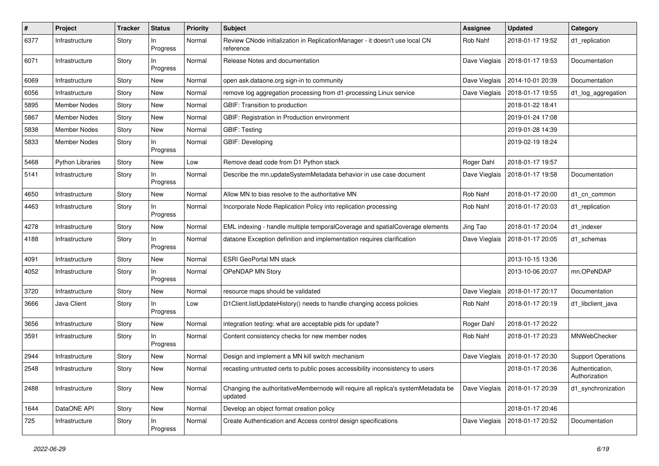| $\#$ | Project                 | <b>Tracker</b> | <b>Status</b>   | <b>Priority</b> | <b>Subject</b>                                                                               | <b>Assignee</b> | <b>Updated</b>   | Category                         |
|------|-------------------------|----------------|-----------------|-----------------|----------------------------------------------------------------------------------------------|-----------------|------------------|----------------------------------|
| 6377 | Infrastructure          | Story          | In.<br>Progress | Normal          | Review CNode initialization in ReplicationManager - it doesn't use local CN<br>reference     | Rob Nahf        | 2018-01-17 19:52 | d1_replication                   |
| 6071 | Infrastructure          | Story          | In<br>Progress  | Normal          | Release Notes and documentation                                                              | Dave Vieglais   | 2018-01-17 19:53 | Documentation                    |
| 6069 | Infrastructure          | Story          | New             | Normal          | open ask.dataone.org sign-in to community                                                    | Dave Vieglais   | 2014-10-01 20:39 | Documentation                    |
| 6056 | Infrastructure          | Story          | New             | Normal          | remove log aggregation processing from d1-processing Linux service                           | Dave Vieglais   | 2018-01-17 19:55 | d1_log_aggregation               |
| 5895 | Member Nodes            | Story          | New             | Normal          | GBIF: Transition to production                                                               |                 | 2018-01-22 18:41 |                                  |
| 5867 | Member Nodes            | Story          | New             | Normal          | GBIF: Registration in Production environment                                                 |                 | 2019-01-24 17:08 |                                  |
| 5838 | Member Nodes            | Story          | New             | Normal          | <b>GBIF: Testing</b>                                                                         |                 | 2019-01-28 14:39 |                                  |
| 5833 | Member Nodes            | Story          | ln.<br>Progress | Normal          | GBIF: Developing                                                                             |                 | 2019-02-19 18:24 |                                  |
| 5468 | <b>Python Libraries</b> | Story          | New             | Low             | Remove dead code from D1 Python stack                                                        | Roger Dahl      | 2018-01-17 19:57 |                                  |
| 5141 | Infrastructure          | Story          | ln.<br>Progress | Normal          | Describe the mn.updateSystemMetadata behavior in use case document                           | Dave Vieglais   | 2018-01-17 19:58 | Documentation                    |
| 4650 | Infrastructure          | Story          | New             | Normal          | Allow MN to bias resolve to the authoritative MN                                             | Rob Nahf        | 2018-01-17 20:00 | d1_cn_common                     |
| 4463 | Infrastructure          | Story          | ln.<br>Progress | Normal          | Incorporate Node Replication Policy into replication processing                              | Rob Nahf        | 2018-01-17 20:03 | d1_replication                   |
| 4278 | Infrastructure          | Story          | New             | Normal          | EML indexing - handle multiple temporalCoverage and spatialCoverage elements                 | Jing Tao        | 2018-01-17 20:04 | d1_indexer                       |
| 4188 | Infrastructure          | Story          | In<br>Progress  | Normal          | dataone Exception definition and implementation requires clarification                       | Dave Vieglais   | 2018-01-17 20:05 | d1 schemas                       |
| 4091 | Infrastructure          | Story          | New             | Normal          | <b>ESRI GeoPortal MN stack</b>                                                               |                 | 2013-10-15 13:36 |                                  |
| 4052 | Infrastructure          | Story          | In<br>Progress  | Normal          | OPeNDAP MN Story                                                                             |                 | 2013-10-06 20:07 | mn.OPeNDAP                       |
| 3720 | Infrastructure          | Story          | New             | Normal          | resource maps should be validated                                                            | Dave Vieglais   | 2018-01-17 20:17 | Documentation                    |
| 3666 | Java Client             | Story          | In.<br>Progress | Low             | D1Client.listUpdateHistory() needs to handle changing access policies                        | Rob Nahf        | 2018-01-17 20:19 | d1_libclient_java                |
| 3656 | Infrastructure          | Story          | New             | Normal          | integration testing: what are acceptable pids for update?                                    | Roger Dahl      | 2018-01-17 20:22 |                                  |
| 3591 | Infrastructure          | Story          | In<br>Progress  | Normal          | Content consistency checks for new member nodes                                              | Rob Nahf        | 2018-01-17 20:23 | MNWebChecker                     |
| 2944 | Infrastructure          | Story          | New             | Normal          | Design and implement a MN kill switch mechanism                                              | Dave Vieglais   | 2018-01-17 20:30 | <b>Support Operations</b>        |
| 2548 | Infrastructure          | Story          | New             | Normal          | recasting untrusted certs to public poses accessibility inconsistency to users               |                 | 2018-01-17 20:36 | Authentication,<br>Authorization |
| 2488 | Infrastructure          | Story          | New             | Normal          | Changing the authoritativeMembernode will require all replica's systemMetadata be<br>updated | Dave Vieglais   | 2018-01-17 20:39 | d1_synchronization               |
| 1644 | DataONE API             | Story          | New             | Normal          | Develop an object format creation policy                                                     |                 | 2018-01-17 20:46 |                                  |
| 725  | Infrastructure          | Story          | In<br>Progress  | Normal          | Create Authentication and Access control design specifications                               | Dave Vieglais   | 2018-01-17 20:52 | Documentation                    |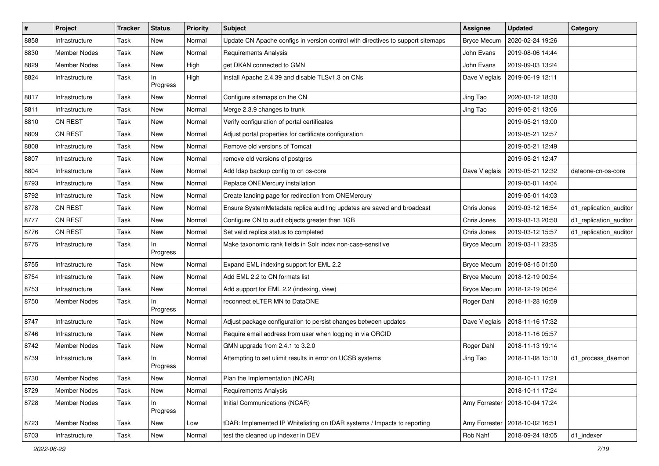| $\vert$ # | Project             | <b>Tracker</b> | <b>Status</b>   | Priority | Subject                                                                         | <b>Assignee</b>    | <b>Updated</b>   | Category               |
|-----------|---------------------|----------------|-----------------|----------|---------------------------------------------------------------------------------|--------------------|------------------|------------------------|
| 8858      | Infrastructure      | Task           | New             | Normal   | Update CN Apache configs in version control with directives to support sitemaps | <b>Bryce Mecum</b> | 2020-02-24 19:26 |                        |
| 8830      | <b>Member Nodes</b> | Task           | New             | Normal   | <b>Requirements Analysis</b>                                                    | John Evans         | 2019-08-06 14:44 |                        |
| 8829      | <b>Member Nodes</b> | Task           | New             | High     | get DKAN connected to GMN                                                       | John Evans         | 2019-09-03 13:24 |                        |
| 8824      | Infrastructure      | Task           | In<br>Progress  | High     | Install Apache 2.4.39 and disable TLSv1.3 on CNs                                | Dave Vieglais      | 2019-06-19 12:11 |                        |
| 8817      | Infrastructure      | Task           | New             | Normal   | Configure sitemaps on the CN                                                    | Jing Tao           | 2020-03-12 18:30 |                        |
| 8811      | Infrastructure      | Task           | New             | Normal   | Merge 2.3.9 changes to trunk                                                    | Jing Tao           | 2019-05-21 13:06 |                        |
| 8810      | <b>CN REST</b>      | Task           | New             | Normal   | Verify configuration of portal certificates                                     |                    | 2019-05-21 13:00 |                        |
| 8809      | <b>CN REST</b>      | Task           | New             | Normal   | Adjust portal properties for certificate configuration                          |                    | 2019-05-21 12:57 |                        |
| 8808      | Infrastructure      | Task           | New             | Normal   | Remove old versions of Tomcat                                                   |                    | 2019-05-21 12:49 |                        |
| 8807      | Infrastructure      | Task           | New             | Normal   | remove old versions of postgres                                                 |                    | 2019-05-21 12:47 |                        |
| 8804      | Infrastructure      | Task           | New             | Normal   | Add Idap backup config to cn os-core                                            | Dave Vieglais      | 2019-05-21 12:32 | dataone-cn-os-core     |
| 8793      | Infrastructure      | Task           | New             | Normal   | Replace ONEMercury installation                                                 |                    | 2019-05-01 14:04 |                        |
| 8792      | Infrastructure      | Task           | New             | Normal   | Create landing page for redirection from ONEMercury                             |                    | 2019-05-01 14:03 |                        |
| 8778      | <b>CN REST</b>      | Task           | New             | Normal   | Ensure SystemMetadata replica auditing updates are saved and broadcast          | Chris Jones        | 2019-03-12 16:54 | d1_replication_auditor |
| 8777      | <b>CN REST</b>      | Task           | New             | Normal   | Configure CN to audit objects greater than 1GB                                  | Chris Jones        | 2019-03-13 20:50 | d1_replication_auditor |
| 8776      | <b>CN REST</b>      | Task           | New             | Normal   | Set valid replica status to completed                                           | Chris Jones        | 2019-03-12 15:57 | d1_replication_auditor |
| 8775      | Infrastructure      | Task           | ln.<br>Progress | Normal   | Make taxonomic rank fields in Solr index non-case-sensitive                     | <b>Bryce Mecum</b> | 2019-03-11 23:35 |                        |
| 8755      | Infrastructure      | Task           | New             | Normal   | Expand EML indexing support for EML 2.2                                         | <b>Bryce Mecum</b> | 2019-08-15 01:50 |                        |
| 8754      | Infrastructure      | Task           | New             | Normal   | Add EML 2.2 to CN formats list                                                  | <b>Bryce Mecum</b> | 2018-12-19 00:54 |                        |
| 8753      | Infrastructure      | Task           | New             | Normal   | Add support for EML 2.2 (indexing, view)                                        | <b>Bryce Mecum</b> | 2018-12-19 00:54 |                        |
| 8750      | <b>Member Nodes</b> | Task           | ln.<br>Progress | Normal   | reconnect eLTER MN to DataONE                                                   | Roger Dahl         | 2018-11-28 16:59 |                        |
| 8747      | Infrastructure      | Task           | New             | Normal   | Adjust package configuration to persist changes between updates                 | Dave Vieglais      | 2018-11-16 17:32 |                        |
| 8746      | Infrastructure      | Task           | New             | Normal   | Require email address from user when logging in via ORCID                       |                    | 2018-11-16 05:57 |                        |
| 8742      | <b>Member Nodes</b> | Task           | New             | Normal   | GMN upgrade from 2.4.1 to 3.2.0                                                 | Roger Dahl         | 2018-11-13 19:14 |                        |
| 8739      | Infrastructure      | Task           | ln.<br>Progress | Normal   | Attempting to set ulimit results in error on UCSB systems                       | Jing Tao           | 2018-11-08 15:10 | d1_process_daemon      |
| 8730      | Member Nodes        | Task           | New             | Normal   | Plan the Implementation (NCAR)                                                  |                    | 2018-10-11 17:21 |                        |
| 8729      | Member Nodes        | Task           | New             | Normal   | <b>Requirements Analysis</b>                                                    |                    | 2018-10-11 17:24 |                        |
| 8728      | Member Nodes        | Task           | In<br>Progress  | Normal   | Initial Communications (NCAR)                                                   | Amy Forrester      | 2018-10-04 17:24 |                        |
| 8723      | Member Nodes        | Task           | New             | Low      | tDAR: Implemented IP Whitelisting on tDAR systems / Impacts to reporting        | Amy Forrester      | 2018-10-02 16:51 |                        |
| 8703      | Infrastructure      | Task           | New             | Normal   | test the cleaned up indexer in DEV                                              | Rob Nahf           | 2018-09-24 18:05 | d1_indexer             |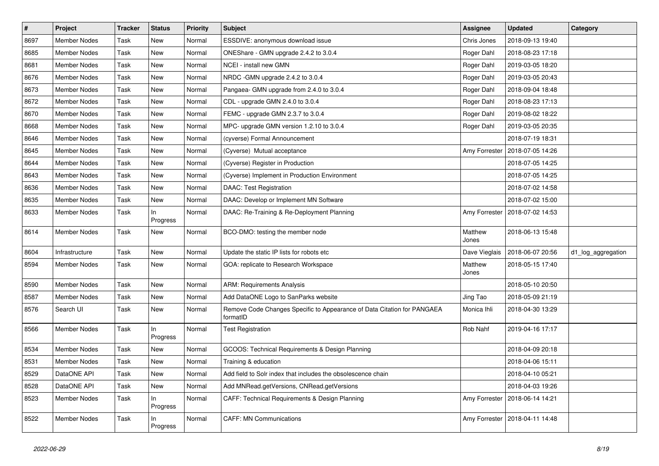| $\pmb{\#}$ | Project             | <b>Tracker</b> | <b>Status</b>   | <b>Priority</b> | <b>Subject</b>                                                                      | Assignee         | <b>Updated</b>                   | Category           |
|------------|---------------------|----------------|-----------------|-----------------|-------------------------------------------------------------------------------------|------------------|----------------------------------|--------------------|
| 8697       | <b>Member Nodes</b> | Task           | New             | Normal          | ESSDIVE: anonymous download issue                                                   | Chris Jones      | 2018-09-13 19:40                 |                    |
| 8685       | <b>Member Nodes</b> | Task           | New             | Normal          | ONEShare - GMN upgrade 2.4.2 to 3.0.4                                               | Roger Dahl       | 2018-08-23 17:18                 |                    |
| 8681       | <b>Member Nodes</b> | Task           | New             | Normal          | NCEI - install new GMN                                                              | Roger Dahl       | 2019-03-05 18:20                 |                    |
| 8676       | <b>Member Nodes</b> | Task           | New             | Normal          | NRDC - GMN upgrade 2.4.2 to 3.0.4                                                   | Roger Dahl       | 2019-03-05 20:43                 |                    |
| 8673       | <b>Member Nodes</b> | Task           | New             | Normal          | Pangaea- GMN upgrade from 2.4.0 to 3.0.4                                            | Roger Dahl       | 2018-09-04 18:48                 |                    |
| 8672       | Member Nodes        | Task           | New             | Normal          | CDL - upgrade GMN 2.4.0 to 3.0.4                                                    | Roger Dahl       | 2018-08-23 17:13                 |                    |
| 8670       | <b>Member Nodes</b> | Task           | New             | Normal          | FEMC - upgrade GMN 2.3.7 to 3.0.4                                                   | Roger Dahl       | 2019-08-02 18:22                 |                    |
| 8668       | Member Nodes        | Task           | New             | Normal          | MPC- upgrade GMN version 1.2.10 to 3.0.4                                            | Roger Dahl       | 2019-03-05 20:35                 |                    |
| 8646       | <b>Member Nodes</b> | Task           | New             | Normal          | (cyverse) Formal Announcement                                                       |                  | 2018-07-19 18:31                 |                    |
| 8645       | <b>Member Nodes</b> | Task           | New             | Normal          | (Cyverse) Mutual acceptance                                                         | Amy Forrester    | 2018-07-05 14:26                 |                    |
| 8644       | <b>Member Nodes</b> | Task           | New             | Normal          | (Cyverse) Register in Production                                                    |                  | 2018-07-05 14:25                 |                    |
| 8643       | Member Nodes        | Task           | New             | Normal          | (Cyverse) Implement in Production Environment                                       |                  | 2018-07-05 14:25                 |                    |
| 8636       | <b>Member Nodes</b> | Task           | New             | Normal          | <b>DAAC: Test Registration</b>                                                      |                  | 2018-07-02 14:58                 |                    |
| 8635       | <b>Member Nodes</b> | Task           | New             | Normal          | DAAC: Develop or Implement MN Software                                              |                  | 2018-07-02 15:00                 |                    |
| 8633       | Member Nodes        | Task           | ln<br>Progress  | Normal          | DAAC: Re-Training & Re-Deployment Planning                                          | Amy Forrester    | 2018-07-02 14:53                 |                    |
| 8614       | <b>Member Nodes</b> | Task           | New             | Normal          | BCO-DMO: testing the member node                                                    | Matthew<br>Jones | 2018-06-13 15:48                 |                    |
| 8604       | Infrastructure      | Task           | New             | Normal          | Update the static IP lists for robots etc                                           | Dave Vieglais    | 2018-06-07 20:56                 | d1_log_aggregation |
| 8594       | Member Nodes        | Task           | New             | Normal          | GOA: replicate to Research Workspace                                                | Matthew<br>Jones | 2018-05-15 17:40                 |                    |
| 8590       | <b>Member Nodes</b> | Task           | New             | Normal          | <b>ARM: Requirements Analysis</b>                                                   |                  | 2018-05-10 20:50                 |                    |
| 8587       | Member Nodes        | Task           | New             | Normal          | Add DataONE Logo to SanParks website                                                | Jing Tao         | 2018-05-09 21:19                 |                    |
| 8576       | Search UI           | Task           | New             | Normal          | Remove Code Changes Specific to Appearance of Data Citation for PANGAEA<br>formatID | Monica Ihli      | 2018-04-30 13:29                 |                    |
| 8566       | Member Nodes        | Task           | In<br>Progress  | Normal          | Test Registration                                                                   | Rob Nahf         | 2019-04-16 17:17                 |                    |
| 8534       | <b>Member Nodes</b> | Task           | New             | Normal          | GCOOS: Technical Requirements & Design Planning                                     |                  | 2018-04-09 20:18                 |                    |
| 8531       | Member Nodes        | Task           | New             | Normal          | Training & education                                                                |                  | 2018-04-06 15:11                 |                    |
| 8529       | DataONE API         | Task           | New             | Normal          | Add field to Solr index that includes the obsolescence chain                        |                  | 2018-04-10 05:21                 |                    |
| 8528       | DataONE API         | Task           | New             | Normal          | Add MNRead.getVersions, CNRead.getVersions                                          |                  | 2018-04-03 19:26                 |                    |
| 8523       | <b>Member Nodes</b> | Task           | In<br>Progress  | Normal          | CAFF: Technical Requirements & Design Planning                                      |                  | Amy Forrester   2018-06-14 14:21 |                    |
| 8522       | Member Nodes        | Task           | ln.<br>Progress | Normal          | <b>CAFF: MN Communications</b>                                                      |                  | Amy Forrester   2018-04-11 14:48 |                    |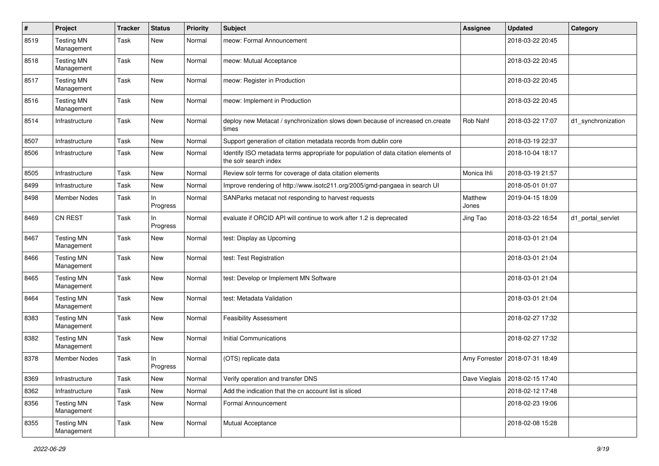| #    | Project                         | <b>Tracker</b> | <b>Status</b>   | <b>Priority</b> | <b>Subject</b>                                                                                               | <b>Assignee</b>  | <b>Updated</b>                   | Category           |
|------|---------------------------------|----------------|-----------------|-----------------|--------------------------------------------------------------------------------------------------------------|------------------|----------------------------------|--------------------|
| 8519 | <b>Testing MN</b><br>Management | Task           | New             | Normal          | meow: Formal Announcement                                                                                    |                  | 2018-03-22 20:45                 |                    |
| 8518 | <b>Testing MN</b><br>Management | Task           | New             | Normal          | meow: Mutual Acceptance                                                                                      |                  | 2018-03-22 20:45                 |                    |
| 8517 | <b>Testing MN</b><br>Management | Task           | New             | Normal          | meow: Register in Production                                                                                 |                  | 2018-03-22 20:45                 |                    |
| 8516 | <b>Testing MN</b><br>Management | Task           | New             | Normal          | meow: Implement in Production                                                                                |                  | 2018-03-22 20:45                 |                    |
| 8514 | Infrastructure                  | Task           | New             | Normal          | deploy new Metacat / synchronization slows down because of increased cn.create<br>times                      | Rob Nahf         | 2018-03-22 17:07                 | d1_synchronization |
| 8507 | Infrastructure                  | Task           | New             | Normal          | Support generation of citation metadata records from dublin core                                             |                  | 2018-03-19 22:37                 |                    |
| 8506 | Infrastructure                  | Task           | New             | Normal          | Identify ISO metadata terms appropriate for population of data citation elements of<br>the solr search index |                  | 2018-10-04 18:17                 |                    |
| 8505 | Infrastructure                  | Task           | New             | Normal          | Review solr terms for coverage of data citation elements                                                     | Monica Ihli      | 2018-03-19 21:57                 |                    |
| 8499 | Infrastructure                  | Task           | <b>New</b>      | Normal          | Improve rendering of http://www.isotc211.org/2005/gmd-pangaea in search UI                                   |                  | 2018-05-01 01:07                 |                    |
| 8498 | <b>Member Nodes</b>             | Task           | In<br>Progress  | Normal          | SANParks metacat not responding to harvest requests                                                          | Matthew<br>Jones | 2019-04-15 18:09                 |                    |
| 8469 | CN REST                         | Task           | ln.<br>Progress | Normal          | evaluate if ORCID API will continue to work after 1.2 is deprecated                                          | Jing Tao         | 2018-03-22 16:54                 | d1 portal servlet  |
| 8467 | <b>Testing MN</b><br>Management | Task           | New             | Normal          | test: Display as Upcoming                                                                                    |                  | 2018-03-01 21:04                 |                    |
| 8466 | <b>Testing MN</b><br>Management | Task           | New             | Normal          | test: Test Registration                                                                                      |                  | 2018-03-01 21:04                 |                    |
| 8465 | <b>Testing MN</b><br>Management | Task           | New             | Normal          | test: Develop or Implement MN Software                                                                       |                  | 2018-03-01 21:04                 |                    |
| 8464 | <b>Testing MN</b><br>Management | Task           | New             | Normal          | test: Metadata Validation                                                                                    |                  | 2018-03-01 21:04                 |                    |
| 8383 | <b>Testing MN</b><br>Management | Task           | New             | Normal          | <b>Feasibility Assessment</b>                                                                                |                  | 2018-02-27 17:32                 |                    |
| 8382 | <b>Testing MN</b><br>Management | Task           | New             | Normal          | <b>Initial Communications</b>                                                                                |                  | 2018-02-27 17:32                 |                    |
| 8378 | <b>Member Nodes</b>             | Task           | ln.<br>Progress | Normal          | (OTS) replicate data                                                                                         | Amy Forrester    | 2018-07-31 18:49                 |                    |
| 8369 | Infrastructure                  | Task           | New             | Normal          | Verify operation and transfer DNS                                                                            |                  | Dave Vieglais   2018-02-15 17:40 |                    |
| 8362 | Infrastructure                  | Task           | New             | Normal          | Add the indication that the cn account list is sliced                                                        |                  | 2018-02-12 17:48                 |                    |
| 8356 | <b>Testing MN</b><br>Management | Task           | New             | Normal          | Formal Announcement                                                                                          |                  | 2018-02-23 19:06                 |                    |
| 8355 | <b>Testing MN</b><br>Management | Task           | New             | Normal          | Mutual Acceptance                                                                                            |                  | 2018-02-08 15:28                 |                    |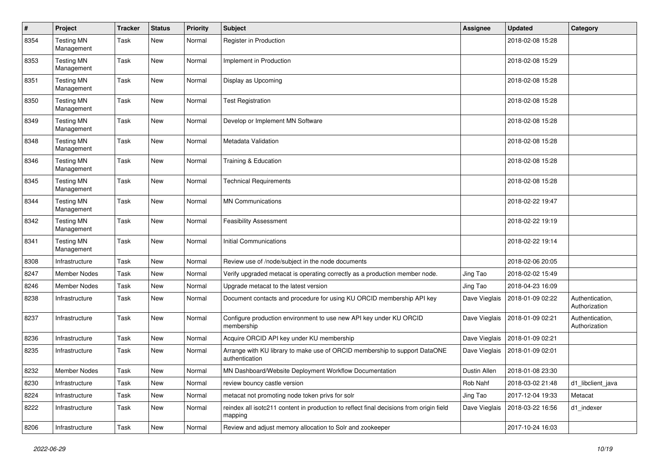| #    | Project                         | <b>Tracker</b> | <b>Status</b> | <b>Priority</b> | <b>Subject</b>                                                                                     | <b>Assignee</b> | <b>Updated</b>   | Category                         |
|------|---------------------------------|----------------|---------------|-----------------|----------------------------------------------------------------------------------------------------|-----------------|------------------|----------------------------------|
| 8354 | <b>Testing MN</b><br>Management | Task           | New           | Normal          | Register in Production                                                                             |                 | 2018-02-08 15:28 |                                  |
| 8353 | <b>Testing MN</b><br>Management | Task           | New           | Normal          | Implement in Production                                                                            |                 | 2018-02-08 15:29 |                                  |
| 8351 | <b>Testing MN</b><br>Management | Task           | New           | Normal          | Display as Upcoming                                                                                |                 | 2018-02-08 15:28 |                                  |
| 8350 | <b>Testing MN</b><br>Management | Task           | New           | Normal          | <b>Test Registration</b>                                                                           |                 | 2018-02-08 15:28 |                                  |
| 8349 | <b>Testing MN</b><br>Management | Task           | New           | Normal          | Develop or Implement MN Software                                                                   |                 | 2018-02-08 15:28 |                                  |
| 8348 | <b>Testing MN</b><br>Management | Task           | New           | Normal          | Metadata Validation                                                                                |                 | 2018-02-08 15:28 |                                  |
| 8346 | <b>Testing MN</b><br>Management | Task           | New           | Normal          | Training & Education                                                                               |                 | 2018-02-08 15:28 |                                  |
| 8345 | <b>Testing MN</b><br>Management | Task           | New           | Normal          | <b>Technical Requirements</b>                                                                      |                 | 2018-02-08 15:28 |                                  |
| 8344 | <b>Testing MN</b><br>Management | Task           | New           | Normal          | <b>MN Communications</b>                                                                           |                 | 2018-02-22 19:47 |                                  |
| 8342 | <b>Testing MN</b><br>Management | Task           | New           | Normal          | <b>Feasibility Assessment</b>                                                                      |                 | 2018-02-22 19:19 |                                  |
| 8341 | <b>Testing MN</b><br>Management | Task           | New           | Normal          | <b>Initial Communications</b>                                                                      |                 | 2018-02-22 19:14 |                                  |
| 8308 | Infrastructure                  | Task           | New           | Normal          | Review use of /node/subject in the node documents                                                  |                 | 2018-02-06 20:05 |                                  |
| 8247 | <b>Member Nodes</b>             | Task           | New           | Normal          | Verify upgraded metacat is operating correctly as a production member node.                        | Jing Tao        | 2018-02-02 15:49 |                                  |
| 8246 | <b>Member Nodes</b>             | Task           | New           | Normal          | Upgrade metacat to the latest version                                                              | Jing Tao        | 2018-04-23 16:09 |                                  |
| 8238 | Infrastructure                  | Task           | New           | Normal          | Document contacts and procedure for using KU ORCID membership API key                              | Dave Vieglais   | 2018-01-09 02:22 | Authentication,<br>Authorization |
| 8237 | Infrastructure                  | Task           | New           | Normal          | Configure production environment to use new API key under KU ORCID<br>membership                   | Dave Vieglais   | 2018-01-09 02:21 | Authentication,<br>Authorization |
| 8236 | Infrastructure                  | Task           | New           | Normal          | Acquire ORCID API key under KU membership                                                          | Dave Vieglais   | 2018-01-09 02:21 |                                  |
| 8235 | Infrastructure                  | Task           | New           | Normal          | Arrange with KU library to make use of ORCID membership to support DataONE<br>authentication       | Dave Vieglais   | 2018-01-09 02:01 |                                  |
| 8232 | Member Nodes                    | Task           | New           | Normal          | MN Dashboard/Website Deployment Workflow Documentation                                             | Dustin Allen    | 2018-01-08 23:30 |                                  |
| 8230 | Infrastructure                  | Task           | New           | Normal          | review bouncy castle version                                                                       | Rob Nahf        | 2018-03-02 21:48 | d1_libclient_java                |
| 8224 | Infrastructure                  | Task           | New           | Normal          | metacat not promoting node token privs for solr                                                    | Jing Tao        | 2017-12-04 19:33 | Metacat                          |
| 8222 | Infrastructure                  | Task           | New           | Normal          | reindex all isotc211 content in production to reflect final decisions from origin field<br>mapping | Dave Vieglais   | 2018-03-22 16:56 | d1_indexer                       |
| 8206 | Infrastructure                  | Task           | New           | Normal          | Review and adjust memory allocation to Solr and zookeeper                                          |                 | 2017-10-24 16:03 |                                  |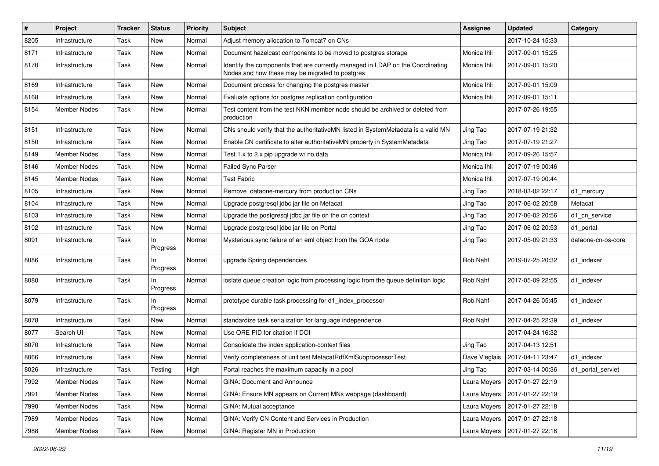| $\sharp$ | Project             | <b>Tracker</b> | <b>Status</b>   | <b>Priority</b> | <b>Subject</b>                                                                                                                    | <b>Assignee</b> | <b>Updated</b>   | Category           |
|----------|---------------------|----------------|-----------------|-----------------|-----------------------------------------------------------------------------------------------------------------------------------|-----------------|------------------|--------------------|
| 8205     | Infrastructure      | Task           | New             | Normal          | Adjust memory allocation to Tomcat7 on CNs                                                                                        |                 | 2017-10-24 15:33 |                    |
| 8171     | Infrastructure      | Task           | New             | Normal          | Document hazelcast components to be moved to postgres storage                                                                     | Monica Ihli     | 2017-09-01 15:25 |                    |
| 8170     | Infrastructure      | Task           | New             | Normal          | Identify the components that are currently managed in LDAP on the Coordinating<br>Nodes and how these may be migrated to postgres | Monica Ihli     | 2017-09-01 15:20 |                    |
| 8169     | Infrastructure      | Task           | New             | Normal          | Document process for changing the postgres master                                                                                 | Monica Ihli     | 2017-09-01 15:09 |                    |
| 8168     | Infrastructure      | Task           | New             | Normal          | Evaluate options for postgres replication configuration                                                                           | Monica Ihli     | 2017-09-01 15:11 |                    |
| 8154     | <b>Member Nodes</b> | Task           | New             | Normal          | Test content from the test NKN member node should be archived or deleted from<br>production                                       |                 | 2017-07-26 19:55 |                    |
| 8151     | Infrastructure      | Task           | New             | Normal          | CNs should verify that the authoritativeMN listed in SystemMetadata is a valid MN                                                 | Jing Tao        | 2017-07-19 21:32 |                    |
| 8150     | Infrastructure      | Task           | New             | Normal          | Enable CN certificate to alter authoritativeMN property in SystemMetadata                                                         | Jing Tao        | 2017-07-19 21:27 |                    |
| 8149     | Member Nodes        | Task           | New             | Normal          | Test 1.x to 2.x pip upgrade w/ no data                                                                                            | Monica Ihli     | 2017-09-26 15:57 |                    |
| 8146     | Member Nodes        | Task           | New             | Normal          | <b>Failed Sync Parser</b>                                                                                                         | Monica Ihli     | 2017-07-19 00:46 |                    |
| 8145     | Member Nodes        | Task           | New             | Normal          | <b>Test Fabric</b>                                                                                                                | Monica Ihli     | 2017-07-19 00:44 |                    |
| 8105     | Infrastructure      | Task           | New             | Normal          | Remove dataone-mercury from production CNs                                                                                        | Jing Tao        | 2018-03-02 22:17 | d1_mercury         |
| 8104     | Infrastructure      | Task           | New             | Normal          | Upgrade postgresql jdbc jar file on Metacat                                                                                       | Jing Tao        | 2017-06-02 20:58 | Metacat            |
| 8103     | Infrastructure      | Task           | New             | Normal          | Upgrade the postgresgl jdbc jar file on the cn context                                                                            | Jing Tao        | 2017-06-02 20:56 | d1_cn_service      |
| 8102     | Infrastructure      | Task           | New             | Normal          | Upgrade postgresql jdbc jar file on Portal                                                                                        | Jing Tao        | 2017-06-02 20:53 | d1 portal          |
| 8091     | Infrastructure      | Task           | ln.<br>Progress | Normal          | Mysterious sync failure of an eml object from the GOA node                                                                        | Jing Tao        | 2017-05-09 21:33 | dataone-cn-os-core |
| 8086     | Infrastructure      | Task           | ln.<br>Progress | Normal          | upgrade Spring dependencies                                                                                                       | Rob Nahf        | 2019-07-25 20:32 | d1 indexer         |
| 8080     | Infrastructure      | Task           | ln.<br>Progress | Normal          | ioslate queue creation logic from processing logic from the queue definition logic                                                | Rob Nahf        | 2017-05-09 22:55 | d1 indexer         |
| 8079     | Infrastructure      | Task           | In.<br>Progress | Normal          | prototype durable task processing for d1_index_processor                                                                          | Rob Nahf        | 2017-04-26 05:45 | d1 indexer         |
| 8078     | Infrastructure      | Task           | New             | Normal          | standardize task serialization for language independence                                                                          | Rob Nahf        | 2017-04-25 22:39 | d1 indexer         |
| 8077     | Search UI           | Task           | New             | Normal          | Use ORE PID for citation if DOI                                                                                                   |                 | 2017-04-24 16:32 |                    |
| 8070     | Infrastructure      | Task           | New             | Normal          | Consolidate the index application-context files                                                                                   | Jing Tao        | 2017-04-13 12:51 |                    |
| 8066     | Infrastructure      | Task           | New             | Normal          | Verify completeness of unit test MetacatRdfXmlSubprocessorTest                                                                    | Dave Vieglais   | 2017-04-11 23:47 | d1 indexer         |
| 8026     | Infrastructure      | Task           | Testing         | High            | Portal reaches the maximum capacity in a pool                                                                                     | Jing Tao        | 2017-03-14 00:36 | d1 portal servlet  |
| 7992     | Member Nodes        | Task           | New             | Normal          | GINA: Document and Announce                                                                                                       | Laura Moyers    | 2017-01-27 22:19 |                    |
| 7991     | Member Nodes        | Task           | New             | Normal          | GINA: Ensure MN appears on Current MNs webpage (dashboard)                                                                        | Laura Moyers    | 2017-01-27 22:19 |                    |
| 7990     | Member Nodes        | Task           | New             | Normal          | GINA: Mutual acceptance                                                                                                           | Laura Moyers    | 2017-01-27 22:18 |                    |
| 7989     | Member Nodes        | Task           | New             | Normal          | GINA: Verify CN Content and Services in Production                                                                                | Laura Moyers    | 2017-01-27 22:18 |                    |
| 7988     | Member Nodes        | Task           | New             | Normal          | GINA: Register MN in Production                                                                                                   | Laura Moyers    | 2017-01-27 22:16 |                    |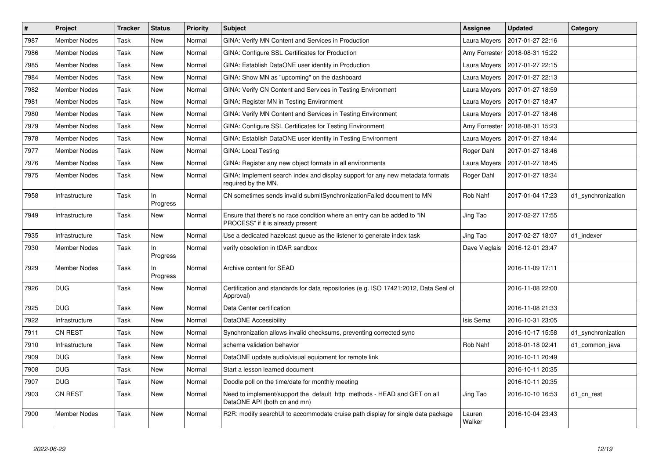| $\vert$ # | <b>Project</b>      | <b>Tracker</b> | <b>Status</b>   | <b>Priority</b> | <b>Subject</b>                                                                                                | Assignee         | <b>Updated</b>   | Category           |
|-----------|---------------------|----------------|-----------------|-----------------|---------------------------------------------------------------------------------------------------------------|------------------|------------------|--------------------|
| 7987      | <b>Member Nodes</b> | Task           | New             | Normal          | GINA: Verify MN Content and Services in Production                                                            | Laura Moyers     | 2017-01-27 22:16 |                    |
| 7986      | <b>Member Nodes</b> | Task           | New             | Normal          | GINA: Configure SSL Certificates for Production                                                               | Amy Forrester    | 2018-08-31 15:22 |                    |
| 7985      | <b>Member Nodes</b> | Task           | New             | Normal          | GINA: Establish DataONE user identity in Production                                                           | Laura Moyers     | 2017-01-27 22:15 |                    |
| 7984      | <b>Member Nodes</b> | Task           | New             | Normal          | GINA: Show MN as "upcoming" on the dashboard                                                                  | Laura Moyers     | 2017-01-27 22:13 |                    |
| 7982      | <b>Member Nodes</b> | Task           | New             | Normal          | GINA: Verify CN Content and Services in Testing Environment                                                   | Laura Moyers     | 2017-01-27 18:59 |                    |
| 7981      | <b>Member Nodes</b> | Task           | New             | Normal          | GINA: Register MN in Testing Environment                                                                      | Laura Moyers     | 2017-01-27 18:47 |                    |
| 7980      | <b>Member Nodes</b> | Task           | New             | Normal          | GINA: Verify MN Content and Services in Testing Environment                                                   | Laura Moyers     | 2017-01-27 18:46 |                    |
| 7979      | <b>Member Nodes</b> | Task           | New             | Normal          | GINA: Configure SSL Certificates for Testing Environment                                                      | Amy Forrester    | 2018-08-31 15:23 |                    |
| 7978      | <b>Member Nodes</b> | Task           | New             | Normal          | GINA: Establish DataONE user identity in Testing Environment                                                  | Laura Moyers     | 2017-01-27 18:44 |                    |
| 7977      | <b>Member Nodes</b> | Task           | New             | Normal          | <b>GINA: Local Testing</b>                                                                                    | Roger Dahl       | 2017-01-27 18:46 |                    |
| 7976      | <b>Member Nodes</b> | Task           | New             | Normal          | GINA: Register any new object formats in all environments                                                     | Laura Moyers     | 2017-01-27 18:45 |                    |
| 7975      | Member Nodes        | Task           | New             | Normal          | GINA: Implement search index and display support for any new metadata formats<br>required by the MN.          | Roger Dahl       | 2017-01-27 18:34 |                    |
| 7958      | Infrastructure      | Task           | In.<br>Progress | Normal          | CN sometimes sends invalid submitSynchronizationFailed document to MN                                         | Rob Nahf         | 2017-01-04 17:23 | d1_synchronization |
| 7949      | Infrastructure      | Task           | New             | Normal          | Ensure that there's no race condition where an entry can be added to "IN<br>PROCESS" if it is already present | Jing Tao         | 2017-02-27 17:55 |                    |
| 7935      | Infrastructure      | Task           | New             | Normal          | Use a dedicated hazelcast queue as the listener to generate index task                                        | Jing Tao         | 2017-02-27 18:07 | d1 indexer         |
| 7930      | <b>Member Nodes</b> | Task           | ln.<br>Progress | Normal          | verify obsoletion in tDAR sandbox                                                                             | Dave Vieglais    | 2016-12-01 23:47 |                    |
| 7929      | <b>Member Nodes</b> | Task           | In.<br>Progress | Normal          | Archive content for SEAD                                                                                      |                  | 2016-11-09 17:11 |                    |
| 7926      | <b>DUG</b>          | Task           | New             | Normal          | Certification and standards for data repositories (e.g. ISO 17421:2012, Data Seal of<br>Approval)             |                  | 2016-11-08 22:00 |                    |
| 7925      | <b>DUG</b>          | Task           | New             | Normal          | Data Center certification                                                                                     |                  | 2016-11-08 21:33 |                    |
| 7922      | Infrastructure      | Task           | New             | Normal          | DataONE Accessibility                                                                                         | Isis Serna       | 2016-10-31 23:05 |                    |
| 7911      | <b>CN REST</b>      | Task           | New             | Normal          | Synchronization allows invalid checksums, preventing corrected sync                                           |                  | 2016-10-17 15:58 | d1 synchronization |
| 7910      | Infrastructure      | Task           | New             | Normal          | schema validation behavior                                                                                    | Rob Nahf         | 2018-01-18 02:41 | d1 common java     |
| 7909      | <b>DUG</b>          | Task           | New             | Normal          | DataONE update audio/visual equipment for remote link                                                         |                  | 2016-10-11 20:49 |                    |
| 7908      | <b>DUG</b>          | Task           | New             | Normal          | Start a lesson learned document                                                                               |                  | 2016-10-11 20:35 |                    |
| 7907      | <b>DUG</b>          | Task           | New             | Normal          | Doodle poll on the time/date for monthly meeting                                                              |                  | 2016-10-11 20:35 |                    |
| 7903      | <b>CN REST</b>      | Task           | New             | Normal          | Need to implement/support the default http methods - HEAD and GET on all<br>DataONE API (both cn and mn)      | Jing Tao         | 2016-10-10 16:53 | d1_cn_rest         |
| 7900      | Member Nodes        | Task           | New             | Normal          | R2R: modify searchUI to accommodate cruise path display for single data package                               | Lauren<br>Walker | 2016-10-04 23:43 |                    |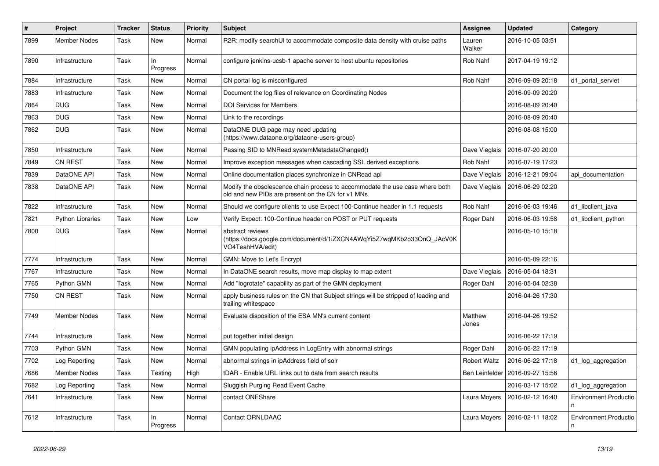| $\vert$ # | Project                 | <b>Tracker</b> | <b>Status</b>   | <b>Priority</b> | <b>Subject</b>                                                                                                                    | Assignee              | <b>Updated</b>   | Category                   |
|-----------|-------------------------|----------------|-----------------|-----------------|-----------------------------------------------------------------------------------------------------------------------------------|-----------------------|------------------|----------------------------|
| 7899      | <b>Member Nodes</b>     | Task           | New             | Normal          | R2R: modify searchUI to accommodate composite data density with cruise paths                                                      | Lauren<br>Walker      | 2016-10-05 03:51 |                            |
| 7890      | Infrastructure          | Task           | In.<br>Progress | Normal          | configure jenkins-ucsb-1 apache server to host ubuntu repositories                                                                | Rob Nahf              | 2017-04-19 19:12 |                            |
| 7884      | Infrastructure          | Task           | <b>New</b>      | Normal          | CN portal log is misconfigured                                                                                                    | <b>Rob Nahf</b>       | 2016-09-09 20:18 | d1 portal servlet          |
| 7883      | Infrastructure          | Task           | New             | Normal          | Document the log files of relevance on Coordinating Nodes                                                                         |                       | 2016-09-09 20:20 |                            |
| 7864      | <b>DUG</b>              | Task           | New             | Normal          | <b>DOI Services for Members</b>                                                                                                   |                       | 2016-08-09 20:40 |                            |
| 7863      | <b>DUG</b>              | Task           | New             | Normal          | Link to the recordings                                                                                                            |                       | 2016-08-09 20:40 |                            |
| 7862      | <b>DUG</b>              | Task           | New             | Normal          | DataONE DUG page may need updating<br>(https://www.dataone.org/dataone-users-group)                                               |                       | 2016-08-08 15:00 |                            |
| 7850      | Infrastructure          | Task           | New             | Normal          | Passing SID to MNRead.systemMetadataChanged()                                                                                     | Dave Vieglais         | 2016-07-20 20:00 |                            |
| 7849      | <b>CN REST</b>          | Task           | New             | Normal          | Improve exception messages when cascading SSL derived exceptions                                                                  | <b>Rob Nahf</b>       | 2016-07-19 17:23 |                            |
| 7839      | DataONE API             | Task           | New             | Normal          | Online documentation places synchronize in CNRead api                                                                             | Dave Vieglais         | 2016-12-21 09:04 | api_documentation          |
| 7838      | DataONE API             | Task           | New             | Normal          | Modify the obsolescence chain process to accommodate the use case where both<br>old and new PIDs are present on the CN for v1 MNs | Dave Vieglais         | 2016-06-29 02:20 |                            |
| 7822      | Infrastructure          | Task           | <b>New</b>      | Normal          | Should we configure clients to use Expect 100-Continue header in 1.1 requests                                                     | <b>Rob Nahf</b>       | 2016-06-03 19:46 | d1_libclient_java          |
| 7821      | <b>Python Libraries</b> | Task           | New             | Low             | Verify Expect: 100-Continue header on POST or PUT requests                                                                        | Roger Dahl            | 2016-06-03 19:58 | d1 libclient python        |
| 7800      | <b>DUG</b>              | Task           | New             | Normal          | abstract reviews<br>(https://docs.google.com/document/d/1iZXCN4AWqYi5Z7wqMKb2o33QnQ_JAcV0K<br>VO4TeahHVA/edit)                    |                       | 2016-05-10 15:18 |                            |
| 7774      | Infrastructure          | Task           | New             | Normal          | GMN: Move to Let's Encrypt                                                                                                        |                       | 2016-05-09 22:16 |                            |
| 7767      | Infrastructure          | Task           | New             | Normal          | In DataONE search results, move map display to map extent                                                                         | Dave Vieglais         | 2016-05-04 18:31 |                            |
| 7765      | Python GMN              | Task           | New             | Normal          | Add "logrotate" capability as part of the GMN deployment                                                                          | Roger Dahl            | 2016-05-04 02:38 |                            |
| 7750      | <b>CN REST</b>          | Task           | New             | Normal          | apply business rules on the CN that Subject strings will be stripped of leading and<br>trailing whitespace                        |                       | 2016-04-26 17:30 |                            |
| 7749      | <b>Member Nodes</b>     | Task           | <b>New</b>      | Normal          | Evaluate disposition of the ESA MN's current content                                                                              | Matthew<br>Jones      | 2016-04-26 19:52 |                            |
| 7744      | Infrastructure          | Task           | New             | Normal          | put together initial design                                                                                                       |                       | 2016-06-22 17:19 |                            |
| 7703      | Python GMN              | Task           | New             | Normal          | GMN populating ipAddress in LogEntry with abnormal strings                                                                        | Roger Dahl            | 2016-06-22 17:19 |                            |
| 7702      | Log Reporting           | Task           | New             | Normal          | abnormal strings in ipAddress field of solr                                                                                       | <b>Robert Waltz</b>   | 2016-06-22 17:18 | d1_log_aggregation         |
| 7686      | <b>Member Nodes</b>     | Task           | Testing         | High            | tDAR - Enable URL links out to data from search results                                                                           | <b>Ben Leinfelder</b> | 2016-09-27 15:56 |                            |
| 7682      | Log Reporting           | Task           | New             | Normal          | Sluggish Purging Read Event Cache                                                                                                 |                       | 2016-03-17 15:02 | d1_log_aggregation         |
| 7641      | Infrastructure          | Task           | New             | Normal          | contact ONEShare                                                                                                                  | Laura Moyers          | 2016-02-12 16:40 | Environment.Productio<br>n |
| 7612      | Infrastructure          | Task           | ln.<br>Progress | Normal          | <b>Contact ORNLDAAC</b>                                                                                                           | Laura Moyers          | 2016-02-11 18:02 | Environment.Productio<br>n |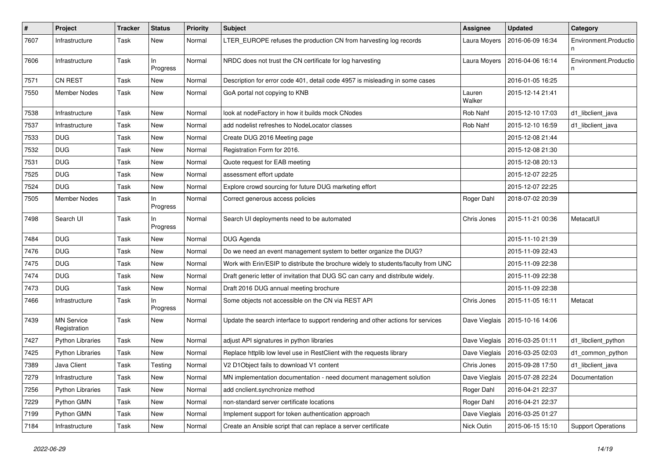| #    | Project                           | <b>Tracker</b> | <b>Status</b>   | <b>Priority</b> | Subject                                                                            | <b>Assignee</b>  | <b>Updated</b>   | Category                   |
|------|-----------------------------------|----------------|-----------------|-----------------|------------------------------------------------------------------------------------|------------------|------------------|----------------------------|
| 7607 | Infrastructure                    | Task           | New             | Normal          | LTER_EUROPE refuses the production CN from harvesting log records                  | Laura Moyers     | 2016-06-09 16:34 | Environment.Productio      |
| 7606 | Infrastructure                    | Task           | ln<br>Progress  | Normal          | NRDC does not trust the CN certificate for log harvesting                          | Laura Moyers     | 2016-04-06 16:14 | Environment.Productio<br>n |
| 7571 | <b>CN REST</b>                    | Task           | New             | Normal          | Description for error code 401, detail code 4957 is misleading in some cases       |                  | 2016-01-05 16:25 |                            |
| 7550 | Member Nodes                      | Task           | New             | Normal          | GoA portal not copying to KNB                                                      | Lauren<br>Walker | 2015-12-14 21:41 |                            |
| 7538 | Infrastructure                    | Task           | New             | Normal          | look at nodeFactory in how it builds mock CNodes                                   | Rob Nahf         | 2015-12-10 17:03 | d1_libclient_java          |
| 7537 | Infrastructure                    | Task           | New             | Normal          | add nodelist refreshes to NodeLocator classes                                      | Rob Nahf         | 2015-12-10 16:59 | d1_libclient_java          |
| 7533 | <b>DUG</b>                        | Task           | New             | Normal          | Create DUG 2016 Meeting page                                                       |                  | 2015-12-08 21:44 |                            |
| 7532 | <b>DUG</b>                        | Task           | New             | Normal          | Registration Form for 2016.                                                        |                  | 2015-12-08 21:30 |                            |
| 7531 | <b>DUG</b>                        | Task           | New             | Normal          | Quote request for EAB meeting                                                      |                  | 2015-12-08 20:13 |                            |
| 7525 | <b>DUG</b>                        | Task           | New             | Normal          | assessment effort update                                                           |                  | 2015-12-07 22:25 |                            |
| 7524 | <b>DUG</b>                        | Task           | New             | Normal          | Explore crowd sourcing for future DUG marketing effort                             |                  | 2015-12-07 22:25 |                            |
| 7505 | Member Nodes                      | Task           | ln.<br>Progress | Normal          | Correct generous access policies                                                   | Roger Dahl       | 2018-07-02 20:39 |                            |
| 7498 | Search UI                         | Task           | ln.<br>Progress | Normal          | Search UI deployments need to be automated                                         | Chris Jones      | 2015-11-21 00:36 | MetacatUI                  |
| 7484 | <b>DUG</b>                        | Task           | New             | Normal          | DUG Agenda                                                                         |                  | 2015-11-10 21:39 |                            |
| 7476 | <b>DUG</b>                        | Task           | New             | Normal          | Do we need an event management system to better organize the DUG?                  |                  | 2015-11-09 22:43 |                            |
| 7475 | <b>DUG</b>                        | Task           | New             | Normal          | Work with Erin/ESIP to distribute the brochure widely to students/faculty from UNC |                  | 2015-11-09 22:38 |                            |
| 7474 | <b>DUG</b>                        | Task           | New             | Normal          | Draft generic letter of invitation that DUG SC can carry and distribute widely.    |                  | 2015-11-09 22:38 |                            |
| 7473 | <b>DUG</b>                        | Task           | New             | Normal          | Draft 2016 DUG annual meeting brochure                                             |                  | 2015-11-09 22:38 |                            |
| 7466 | Infrastructure                    | Task           | In<br>Progress  | Normal          | Some objects not accessible on the CN via REST API                                 | Chris Jones      | 2015-11-05 16:11 | Metacat                    |
| 7439 | <b>MN Service</b><br>Registration | Task           | New             | Normal          | Update the search interface to support rendering and other actions for services    | Dave Vieglais    | 2015-10-16 14:06 |                            |
| 7427 | <b>Python Libraries</b>           | Task           | New             | Normal          | adjust API signatures in python libraries                                          | Dave Vieglais    | 2016-03-25 01:11 | d1_libclient_python        |
| 7425 | <b>Python Libraries</b>           | Task           | New             | Normal          | Replace httplib low level use in RestClient with the requests library              | Dave Vieglais    | 2016-03-25 02:03 | d1_common_python           |
| 7389 | Java Client                       | Task           | Testing         | Normal          | V2 D1Object fails to download V1 content                                           | Chris Jones      | 2015-09-28 17:50 | d1_libclient_java          |
| 7279 | Infrastructure                    | Task           | New             | Normal          | MN implementation documentation - need document management solution                | Dave Vieglais    | 2015-07-28 22:24 | Documentation              |
| 7256 | <b>Python Libraries</b>           | Task           | New             | Normal          | add cnclient.synchronize method                                                    | Roger Dahl       | 2016-04-21 22:37 |                            |
| 7229 | Python GMN                        | Task           | New             | Normal          | non-standard server certificate locations                                          | Roger Dahl       | 2016-04-21 22:37 |                            |
| 7199 | Python GMN                        | Task           | New             | Normal          | Implement support for token authentication approach                                | Dave Vieglais    | 2016-03-25 01:27 |                            |
| 7184 | Infrastructure                    | Task           | New             | Normal          | Create an Ansible script that can replace a server certificate                     | Nick Outin       | 2015-06-15 15:10 | <b>Support Operations</b>  |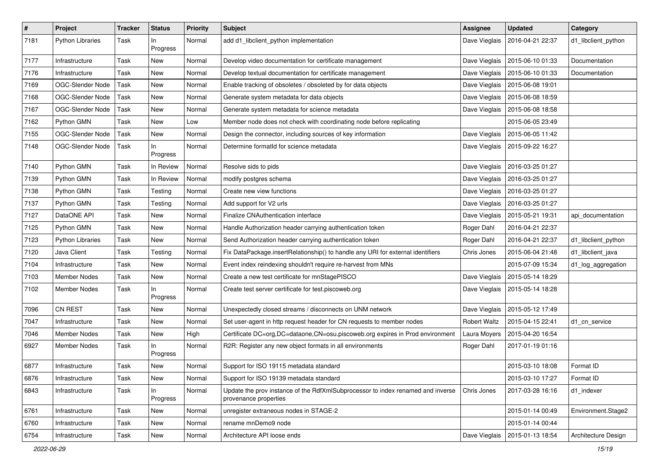| $\pmb{\#}$ | Project                 | Tracker | <b>Status</b>   | <b>Priority</b> | Subject                                                                                                  | <b>Assignee</b>     | <b>Updated</b>   | Category            |
|------------|-------------------------|---------|-----------------|-----------------|----------------------------------------------------------------------------------------------------------|---------------------|------------------|---------------------|
| 7181       | <b>Python Libraries</b> | Task    | In<br>Progress  | Normal          | add d1_libclient_python implementation                                                                   | Dave Vieglais       | 2016-04-21 22:37 | d1_libclient_python |
| 7177       | Infrastructure          | Task    | New             | Normal          | Develop video documentation for certificate management                                                   | Dave Vieglais       | 2015-06-10 01:33 | Documentation       |
| 7176       | Infrastructure          | Task    | New             | Normal          | Develop textual documentation for certificate management                                                 | Dave Vieglais       | 2015-06-10 01:33 | Documentation       |
| 7169       | OGC-Slender Node        | Task    | New             | Normal          | Enable tracking of obsoletes / obsoleted by for data objects                                             | Dave Vieglais       | 2015-06-08 19:01 |                     |
| 7168       | OGC-Slender Node        | Task    | New             | Normal          | Generate system metadata for data objects                                                                | Dave Vieglais       | 2015-06-08 18:59 |                     |
| 7167       | OGC-Slender Node        | Task    | New             | Normal          | Generate system metadata for science metadata                                                            | Dave Vieglais       | 2015-06-08 18:58 |                     |
| 7162       | Python GMN              | Task    | New             | Low             | Member node does not check with coordinating node before replicating                                     |                     | 2015-06-05 23:49 |                     |
| 7155       | OGC-Slender Node        | Task    | New             | Normal          | Design the connector, including sources of key information                                               | Dave Vieglais       | 2015-06-05 11:42 |                     |
| 7148       | OGC-Slender Node        | Task    | In.<br>Progress | Normal          | Determine formatId for science metadata                                                                  | Dave Vieglais       | 2015-09-22 16:27 |                     |
| 7140       | Python GMN              | Task    | In Review       | Normal          | Resolve sids to pids                                                                                     | Dave Vieglais       | 2016-03-25 01:27 |                     |
| 7139       | Python GMN              | Task    | In Review       | Normal          | modify postgres schema                                                                                   | Dave Vieglais       | 2016-03-25 01:27 |                     |
| 7138       | Python GMN              | Task    | Testing         | Normal          | Create new view functions                                                                                | Dave Vieglais       | 2016-03-25 01:27 |                     |
| 7137       | Python GMN              | Task    | Testing         | Normal          | Add support for V2 urls                                                                                  | Dave Vieglais       | 2016-03-25 01:27 |                     |
| 7127       | DataONE API             | Task    | New             | Normal          | Finalize CNAuthentication interface                                                                      | Dave Vieglais       | 2015-05-21 19:31 | api_documentation   |
| 7125       | Python GMN              | Task    | New             | Normal          | Handle Authorization header carrying authentication token                                                | Roger Dahl          | 2016-04-21 22:37 |                     |
| 7123       | <b>Python Libraries</b> | Task    | New             | Normal          | Send Authorization header carrying authentication token                                                  | Roger Dahl          | 2016-04-21 22:37 | d1_libclient_python |
| 7120       | Java Client             | Task    | Testing         | Normal          | Fix DataPackage.insertRelationship() to handle any URI for external identifiers                          | Chris Jones         | 2015-06-04 21:48 | d1_libclient_java   |
| 7104       | Infrastructure          | Task    | New             | Normal          | Event index reindexing shouldn't require re-harvest from MNs                                             |                     | 2015-07-09 15:34 | d1_log_aggregation  |
| 7103       | <b>Member Nodes</b>     | Task    | New             | Normal          | Create a new test certificate for mnStagePISCO                                                           | Dave Vieglais       | 2015-05-14 18:29 |                     |
| 7102       | Member Nodes            | Task    | In.<br>Progress | Normal          | Create test server certificate for test.piscoweb.org                                                     | Dave Vieglais       | 2015-05-14 18:28 |                     |
| 7096       | <b>CN REST</b>          | Task    | New             | Normal          | Unexpectedly closed streams / disconnects on UNM network                                                 | Dave Vieglais       | 2015-05-12 17:49 |                     |
| 7047       | Infrastructure          | Task    | New             | Normal          | Set user-agent in http request header for CN requests to member nodes                                    | <b>Robert Waltz</b> | 2015-04-15 22:41 | d1 cn service       |
| 7046       | <b>Member Nodes</b>     | Task    | New             | High            | Certificate DC=org, DC=dataone, CN=osu.piscoweb.org expires in Prod environment                          | Laura Moyers        | 2015-04-20 16:54 |                     |
| 6927       | Member Nodes            | Task    | In<br>Progress  | Normal          | R2R: Register any new object formats in all environments                                                 | Roger Dahl          | 2017-01-19 01:16 |                     |
| 6877       | Infrastructure          | Task    | New             | Normal          | Support for ISO 19115 metadata standard                                                                  |                     | 2015-03-10 18:08 | Format ID           |
| 6876       | Infrastructure          | Task    | New             | Normal          | Support for ISO 19139 metadata standard                                                                  |                     | 2015-03-10 17:27 | Format ID           |
| 6843       | Infrastructure          | Task    | In.<br>Progress | Normal          | Update the prov instance of the RdfXmlSubprocessor to index renamed and inverse<br>provenance properties | Chris Jones         | 2017-03-28 16:16 | d1 indexer          |
| 6761       | Infrastructure          | Task    | New             | Normal          | unregister extraneous nodes in STAGE-2                                                                   |                     | 2015-01-14 00:49 | Environment.Stage2  |
| 6760       | Infrastructure          | Task    | New             | Normal          | rename mnDemo9 node                                                                                      |                     | 2015-01-14 00:44 |                     |
| 6754       | Infrastructure          | Task    | New             | Normal          | Architecture API loose ends                                                                              | Dave Vieglais       | 2015-01-13 18:54 | Architecture Design |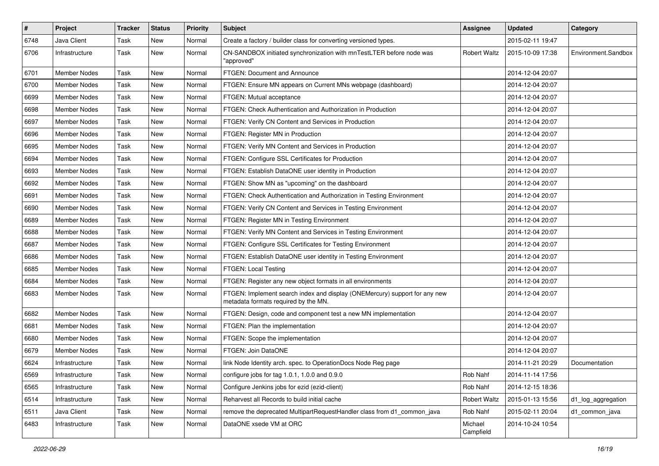| $\sharp$ | <b>Project</b>      | <b>Tracker</b> | <b>Status</b> | Priority | Subject                                                                                                            | <b>Assignee</b>      | <b>Updated</b>   | Category            |
|----------|---------------------|----------------|---------------|----------|--------------------------------------------------------------------------------------------------------------------|----------------------|------------------|---------------------|
| 6748     | Java Client         | Task           | New           | Normal   | Create a factory / builder class for converting versioned types.                                                   |                      | 2015-02-11 19:47 |                     |
| 6706     | Infrastructure      | Task           | New           | Normal   | CN-SANDBOX initiated synchronization with mnTestLTER before node was<br>"approved"                                 | <b>Robert Waltz</b>  | 2015-10-09 17:38 | Environment.Sandbox |
| 6701     | Member Nodes        | Task           | New           | Normal   | FTGEN: Document and Announce                                                                                       |                      | 2014-12-04 20:07 |                     |
| 6700     | Member Nodes        | Task           | New           | Normal   | FTGEN: Ensure MN appears on Current MNs webpage (dashboard)                                                        |                      | 2014-12-04 20:07 |                     |
| 6699     | Member Nodes        | Task           | New           | Normal   | FTGEN: Mutual acceptance                                                                                           |                      | 2014-12-04 20:07 |                     |
| 6698     | Member Nodes        | Task           | New           | Normal   | FTGEN: Check Authentication and Authorization in Production                                                        |                      | 2014-12-04 20:07 |                     |
| 6697     | Member Nodes        | Task           | New           | Normal   | FTGEN: Verify CN Content and Services in Production                                                                |                      | 2014-12-04 20:07 |                     |
| 6696     | Member Nodes        | Task           | New           | Normal   | FTGEN: Register MN in Production                                                                                   |                      | 2014-12-04 20:07 |                     |
| 6695     | Member Nodes        | Task           | New           | Normal   | FTGEN: Verify MN Content and Services in Production                                                                |                      | 2014-12-04 20:07 |                     |
| 6694     | Member Nodes        | Task           | New           | Normal   | FTGEN: Configure SSL Certificates for Production                                                                   |                      | 2014-12-04 20:07 |                     |
| 6693     | Member Nodes        | Task           | New           | Normal   | FTGEN: Establish DataONE user identity in Production                                                               |                      | 2014-12-04 20:07 |                     |
| 6692     | <b>Member Nodes</b> | Task           | New           | Normal   | FTGEN: Show MN as "upcoming" on the dashboard                                                                      |                      | 2014-12-04 20:07 |                     |
| 6691     | Member Nodes        | Task           | New           | Normal   | FTGEN: Check Authentication and Authorization in Testing Environment                                               |                      | 2014-12-04 20:07 |                     |
| 6690     | Member Nodes        | Task           | New           | Normal   | FTGEN: Verify CN Content and Services in Testing Environment                                                       |                      | 2014-12-04 20:07 |                     |
| 6689     | <b>Member Nodes</b> | Task           | New           | Normal   | FTGEN: Register MN in Testing Environment                                                                          |                      | 2014-12-04 20:07 |                     |
| 6688     | Member Nodes        | Task           | New           | Normal   | FTGEN: Verify MN Content and Services in Testing Environment                                                       |                      | 2014-12-04 20:07 |                     |
| 6687     | <b>Member Nodes</b> | Task           | New           | Normal   | FTGEN: Configure SSL Certificates for Testing Environment                                                          |                      | 2014-12-04 20:07 |                     |
| 6686     | Member Nodes        | Task           | New           | Normal   | FTGEN: Establish DataONE user identity in Testing Environment                                                      |                      | 2014-12-04 20:07 |                     |
| 6685     | Member Nodes        | Task           | New           | Normal   | FTGEN: Local Testing                                                                                               |                      | 2014-12-04 20:07 |                     |
| 6684     | Member Nodes        | Task           | New           | Normal   | FTGEN: Register any new object formats in all environments                                                         |                      | 2014-12-04 20:07 |                     |
| 6683     | Member Nodes        | Task           | New           | Normal   | FTGEN: Implement search index and display (ONEMercury) support for any new<br>metadata formats required by the MN. |                      | 2014-12-04 20:07 |                     |
| 6682     | <b>Member Nodes</b> | Task           | New           | Normal   | FTGEN: Design, code and component test a new MN implementation                                                     |                      | 2014-12-04 20:07 |                     |
| 6681     | Member Nodes        | Task           | New           | Normal   | FTGEN: Plan the implementation                                                                                     |                      | 2014-12-04 20:07 |                     |
| 6680     | Member Nodes        | Task           | New           | Normal   | FTGEN: Scope the implementation                                                                                    |                      | 2014-12-04 20:07 |                     |
| 6679     | Member Nodes        | Task           | New           | Normal   | FTGEN: Join DataONE                                                                                                |                      | 2014-12-04 20:07 |                     |
| 6624     | Infrastructure      | Task           | New           | Normal   | link Node Identity arch. spec. to OperationDocs Node Reg page                                                      |                      | 2014-11-21 20:29 | Documentation       |
| 6569     | Infrastructure      | Task           | New           | Normal   | configure jobs for tag 1.0.1, 1.0.0 and 0.9.0                                                                      | Rob Nahf             | 2014-11-14 17:56 |                     |
| 6565     | Infrastructure      | Task           | New           | Normal   | Configure Jenkins jobs for ezid (ezid-client)                                                                      | Rob Nahf             | 2014-12-15 18:36 |                     |
| 6514     | Infrastructure      | Task           | New           | Normal   | Reharvest all Records to build initial cache                                                                       | <b>Robert Waltz</b>  | 2015-01-13 15:56 | d1_log_aggregation  |
| 6511     | Java Client         | Task           | New           | Normal   | remove the deprecated MultipartRequestHandler class from d1_common_java                                            | Rob Nahf             | 2015-02-11 20:04 | d1 common java      |
| 6483     | Infrastructure      | Task           | New           | Normal   | DataONE xsede VM at ORC                                                                                            | Michael<br>Campfield | 2014-10-24 10:54 |                     |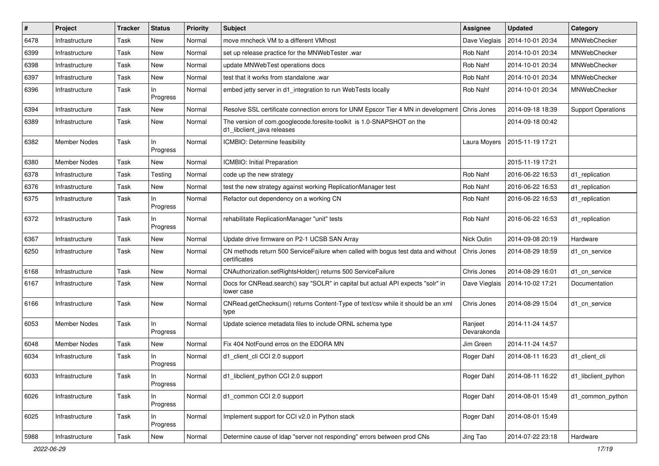| #    | Project             | <b>Tracker</b> | <b>Status</b>   | <b>Priority</b> | Subject                                                                                             | <b>Assignee</b>        | <b>Updated</b>   | Category                  |
|------|---------------------|----------------|-----------------|-----------------|-----------------------------------------------------------------------------------------------------|------------------------|------------------|---------------------------|
| 6478 | Infrastructure      | Task           | New             | Normal          | move mncheck VM to a different VMhost                                                               | Dave Vieglais          | 2014-10-01 20:34 | MNWebChecker              |
| 6399 | Infrastructure      | Task           | New             | Normal          | set up release practice for the MNWebTester .war                                                    | Rob Nahf               | 2014-10-01 20:34 | MNWebChecker              |
| 6398 | Infrastructure      | Task           | New             | Normal          | update MNWebTest operations docs                                                                    | Rob Nahf               | 2014-10-01 20:34 | MNWebChecker              |
| 6397 | Infrastructure      | Task           | New             | Normal          | test that it works from standalone .war                                                             | Rob Nahf               | 2014-10-01 20:34 | MNWebChecker              |
| 6396 | Infrastructure      | Task           | ln.<br>Progress | Normal          | embed jetty server in d1_integration to run WebTests locally                                        | Rob Nahf               | 2014-10-01 20:34 | MNWebChecker              |
| 6394 | Infrastructure      | Task           | New             | Normal          | Resolve SSL certificate connection errors for UNM Epscor Tier 4 MN in development Chris Jones       |                        | 2014-09-18 18:39 | <b>Support Operations</b> |
| 6389 | Infrastructure      | Task           | New             | Normal          | The version of com.googlecode.foresite-toolkit is 1.0-SNAPSHOT on the<br>d1_libclient_java releases |                        | 2014-09-18 00:42 |                           |
| 6382 | <b>Member Nodes</b> | Task           | ln.<br>Progress | Normal          | ICMBIO: Determine feasibility                                                                       | Laura Moyers           | 2015-11-19 17:21 |                           |
| 6380 | <b>Member Nodes</b> | Task           | New             | Normal          | ICMBIO: Initial Preparation                                                                         |                        | 2015-11-19 17:21 |                           |
| 6378 | Infrastructure      | Task           | Testing         | Normal          | code up the new strategy                                                                            | Rob Nahf               | 2016-06-22 16:53 | d1_replication            |
| 6376 | Infrastructure      | Task           | New             | Normal          | test the new strategy against working ReplicationManager test                                       | Rob Nahf               | 2016-06-22 16:53 | d1 replication            |
| 6375 | Infrastructure      | Task           | ln.<br>Progress | Normal          | Refactor out dependency on a working CN                                                             | Rob Nahf               | 2016-06-22 16:53 | d1_replication            |
| 6372 | Infrastructure      | Task           | In<br>Progress  | Normal          | rehabilitate ReplicationManager "unit" tests                                                        | Rob Nahf               | 2016-06-22 16:53 | d1_replication            |
| 6367 | Infrastructure      | Task           | New             | Normal          | Update drive firmware on P2-1 UCSB SAN Array                                                        | Nick Outin             | 2014-09-08 20:19 | Hardware                  |
| 6250 | Infrastructure      | Task           | New             | Normal          | CN methods return 500 ServiceFailure when called with bogus test data and without<br>certificates   | Chris Jones            | 2014-08-29 18:59 | d1_cn_service             |
| 6168 | Infrastructure      | Task           | <b>New</b>      | Normal          | CNAuthorization.setRightsHolder() returns 500 ServiceFailure                                        | Chris Jones            | 2014-08-29 16:01 | d1 cn service             |
| 6167 | Infrastructure      | Task           | New             | Normal          | Docs for CNRead.search() say "SOLR" in capital but actual API expects "solr" in<br>lower case       | Dave Vieglais          | 2014-10-02 17:21 | Documentation             |
| 6166 | Infrastructure      | Task           | New             | Normal          | CNRead.getChecksum() returns Content-Type of text/csv while it should be an xml<br>type             | Chris Jones            | 2014-08-29 15:04 | d1_cn_service             |
| 6053 | <b>Member Nodes</b> | Task           | ln.<br>Progress | Normal          | Update science metadata files to include ORNL schema type                                           | Ranjeet<br>Devarakonda | 2014-11-24 14:57 |                           |
| 6048 | <b>Member Nodes</b> | Task           | New             | Normal          | Fix 404 NotFound erros on the EDORA MN                                                              | Jim Green              | 2014-11-24 14:57 |                           |
| 6034 | Infrastructure      | Task           | ln.<br>Progress | Normal          | d1_client_cli CCI 2.0 support                                                                       | Roger Dahl             | 2014-08-11 16:23 | d1_client_cli             |
| 6033 | Infrastructure      | Task           | In<br>Progress  | Normal          | d1_libclient_python CCI 2.0 support                                                                 | Roger Dahl             | 2014-08-11 16:22 | d1_libclient_python       |
| 6026 | Infrastructure      | Task           | In.<br>Progress | Normal          | d1_common CCI 2.0 support                                                                           | Roger Dahl             | 2014-08-01 15:49 | d1_common_python          |
| 6025 | Infrastructure      | Task           | In<br>Progress  | Normal          | Implement support for CCI v2.0 in Python stack                                                      | Roger Dahl             | 2014-08-01 15:49 |                           |
| 5988 | Infrastructure      | Task           | New             | Normal          | Determine cause of Idap "server not responding" errors between prod CNs                             | Jing Tao               | 2014-07-22 23:18 | Hardware                  |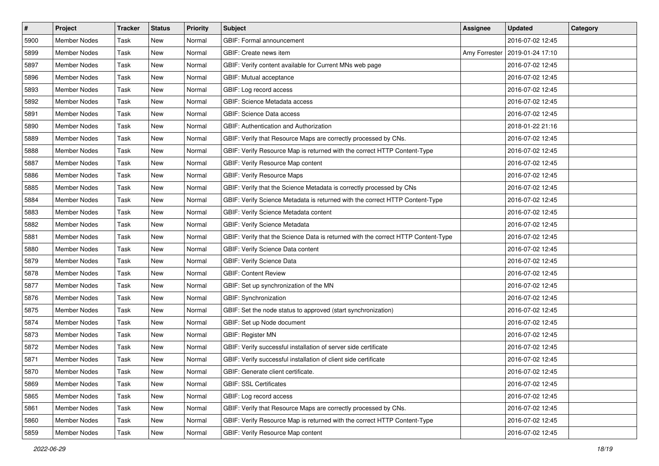| $\#$ | Project             | <b>Tracker</b> | <b>Status</b> | Priority | Subject                                                                           | <b>Assignee</b> | <b>Updated</b>   | Category |
|------|---------------------|----------------|---------------|----------|-----------------------------------------------------------------------------------|-----------------|------------------|----------|
| 5900 | <b>Member Nodes</b> | Task           | New           | Normal   | GBIF: Formal announcement                                                         |                 | 2016-07-02 12:45 |          |
| 5899 | <b>Member Nodes</b> | Task           | New           | Normal   | GBIF: Create news item                                                            | Amy Forrester   | 2019-01-24 17:10 |          |
| 5897 | <b>Member Nodes</b> | Task           | New           | Normal   | GBIF: Verify content available for Current MNs web page                           |                 | 2016-07-02 12:45 |          |
| 5896 | <b>Member Nodes</b> | Task           | New           | Normal   | GBIF: Mutual acceptance                                                           |                 | 2016-07-02 12:45 |          |
| 5893 | <b>Member Nodes</b> | Task           | New           | Normal   | GBIF: Log record access                                                           |                 | 2016-07-02 12:45 |          |
| 5892 | <b>Member Nodes</b> | Task           | New           | Normal   | <b>GBIF: Science Metadata access</b>                                              |                 | 2016-07-02 12:45 |          |
| 5891 | <b>Member Nodes</b> | Task           | New           | Normal   | GBIF: Science Data access                                                         |                 | 2016-07-02 12:45 |          |
| 5890 | <b>Member Nodes</b> | Task           | New           | Normal   | <b>GBIF: Authentication and Authorization</b>                                     |                 | 2018-01-22 21:16 |          |
| 5889 | Member Nodes        | Task           | New           | Normal   | GBIF: Verify that Resource Maps are correctly processed by CNs.                   |                 | 2016-07-02 12:45 |          |
| 5888 | <b>Member Nodes</b> | Task           | New           | Normal   | GBIF: Verify Resource Map is returned with the correct HTTP Content-Type          |                 | 2016-07-02 12:45 |          |
| 5887 | <b>Member Nodes</b> | Task           | New           | Normal   | GBIF: Verify Resource Map content                                                 |                 | 2016-07-02 12:45 |          |
| 5886 | <b>Member Nodes</b> | Task           | New           | Normal   | <b>GBIF: Verify Resource Maps</b>                                                 |                 | 2016-07-02 12:45 |          |
| 5885 | <b>Member Nodes</b> | Task           | New           | Normal   | GBIF: Verify that the Science Metadata is correctly processed by CNs              |                 | 2016-07-02 12:45 |          |
| 5884 | <b>Member Nodes</b> | Task           | New           | Normal   | GBIF: Verify Science Metadata is returned with the correct HTTP Content-Type      |                 | 2016-07-02 12:45 |          |
| 5883 | <b>Member Nodes</b> | Task           | New           | Normal   | GBIF: Verify Science Metadata content                                             |                 | 2016-07-02 12:45 |          |
| 5882 | Member Nodes        | Task           | New           | Normal   | GBIF: Verify Science Metadata                                                     |                 | 2016-07-02 12:45 |          |
| 5881 | <b>Member Nodes</b> | Task           | New           | Normal   | GBIF: Verify that the Science Data is returned with the correct HTTP Content-Type |                 | 2016-07-02 12:45 |          |
| 5880 | <b>Member Nodes</b> | Task           | New           | Normal   | GBIF: Verify Science Data content                                                 |                 | 2016-07-02 12:45 |          |
| 5879 | <b>Member Nodes</b> | Task           | New           | Normal   | <b>GBIF: Verify Science Data</b>                                                  |                 | 2016-07-02 12:45 |          |
| 5878 | <b>Member Nodes</b> | Task           | New           | Normal   | <b>GBIF: Content Review</b>                                                       |                 | 2016-07-02 12:45 |          |
| 5877 | <b>Member Nodes</b> | Task           | New           | Normal   | GBIF: Set up synchronization of the MN                                            |                 | 2016-07-02 12:45 |          |
| 5876 | <b>Member Nodes</b> | Task           | New           | Normal   | GBIF: Synchronization                                                             |                 | 2016-07-02 12:45 |          |
| 5875 | <b>Member Nodes</b> | Task           | New           | Normal   | GBIF: Set the node status to approved (start synchronization)                     |                 | 2016-07-02 12:45 |          |
| 5874 | Member Nodes        | Task           | New           | Normal   | GBIF: Set up Node document                                                        |                 | 2016-07-02 12:45 |          |
| 5873 | <b>Member Nodes</b> | Task           | New           | Normal   | <b>GBIF: Register MN</b>                                                          |                 | 2016-07-02 12:45 |          |
| 5872 | <b>Member Nodes</b> | Task           | New           | Normal   | GBIF: Verify successful installation of server side certificate                   |                 | 2016-07-02 12:45 |          |
| 5871 | <b>Member Nodes</b> | Task           | New           | Normal   | GBIF: Verify successful installation of client side certificate                   |                 | 2016-07-02 12:45 |          |
| 5870 | Member Nodes        | Task           | New           | Normal   | GBIF: Generate client certificate.                                                |                 | 2016-07-02 12:45 |          |
| 5869 | <b>Member Nodes</b> | Task           | New           | Normal   | <b>GBIF: SSL Certificates</b>                                                     |                 | 2016-07-02 12:45 |          |
| 5865 | Member Nodes        | Task           | New           | Normal   | GBIF: Log record access                                                           |                 | 2016-07-02 12:45 |          |
| 5861 | Member Nodes        | Task           | New           | Normal   | GBIF: Verify that Resource Maps are correctly processed by CNs.                   |                 | 2016-07-02 12:45 |          |
| 5860 | Member Nodes        | Task           | New           | Normal   | GBIF: Verify Resource Map is returned with the correct HTTP Content-Type          |                 | 2016-07-02 12:45 |          |
| 5859 | Member Nodes        | Task           | New           | Normal   | GBIF: Verify Resource Map content                                                 |                 | 2016-07-02 12:45 |          |